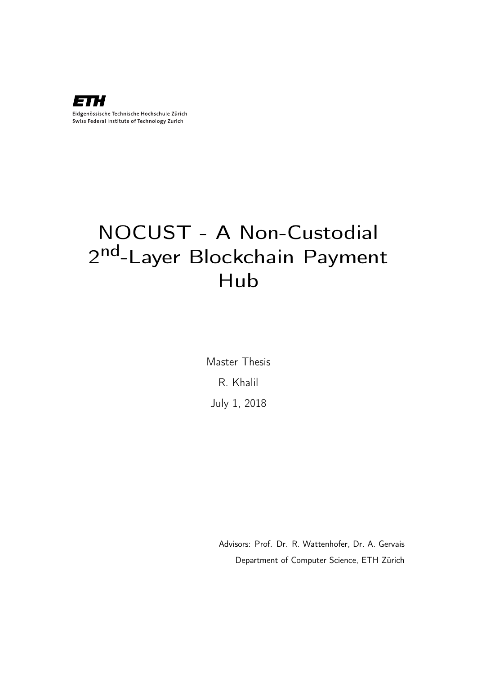

# NOCUST - A Non-Custodial 2nd-Layer Blockchain Payment Hub

Master Thesis R. Khalil July 1, 2018

> Advisors: Prof. Dr. R. Wattenhofer, Dr. A. Gervais Department of Computer Science, ETH Zürich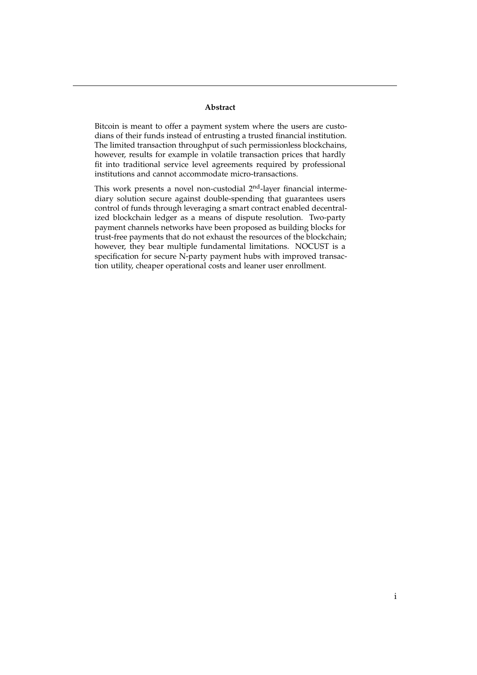#### **Abstract**

Bitcoin is meant to offer a payment system where the users are custodians of their funds instead of entrusting a trusted financial institution. The limited transaction throughput of such permissionless blockchains, however, results for example in volatile transaction prices that hardly fit into traditional service level agreements required by professional institutions and cannot accommodate micro-transactions.

This work presents a novel non-custodial 2<sup>nd</sup>-layer financial intermediary solution secure against double-spending that guarantees users control of funds through leveraging a smart contract enabled decentralized blockchain ledger as a means of dispute resolution. Two-party payment channels networks have been proposed as building blocks for trust-free payments that do not exhaust the resources of the blockchain; however, they bear multiple fundamental limitations. NOCUST is a specification for secure N-party payment hubs with improved transaction utility, cheaper operational costs and leaner user enrollment.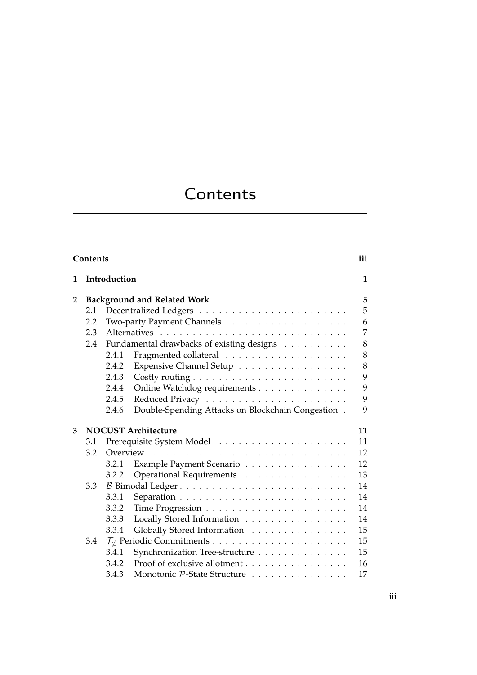# **Contents**

| Contents |                                    |              |                                                   |                |  |  |  |
|----------|------------------------------------|--------------|---------------------------------------------------|----------------|--|--|--|
| 1        |                                    | Introduction |                                                   |                |  |  |  |
| 2        | <b>Background and Related Work</b> |              |                                                   |                |  |  |  |
|          | 2.1                                |              |                                                   | 5              |  |  |  |
|          | 2.2                                |              |                                                   | 6              |  |  |  |
|          | 2.3                                |              |                                                   | $\overline{7}$ |  |  |  |
|          | 2.4                                |              | Fundamental drawbacks of existing designs         | 8              |  |  |  |
|          |                                    | 2.4.1        |                                                   | 8              |  |  |  |
|          |                                    | 2.4.2        | Expensive Channel Setup                           | 8              |  |  |  |
|          |                                    | 2.4.3        |                                                   | 9              |  |  |  |
|          |                                    | 2.4.4        | Online Watchdog requirements                      | 9              |  |  |  |
|          |                                    | 2.4.5        |                                                   | 9              |  |  |  |
|          |                                    | 2.4.6        | Double-Spending Attacks on Blockchain Congestion. | 9              |  |  |  |
| 3        | <b>NOCUST Architecture</b>         |              |                                                   |                |  |  |  |
|          | 3.1                                |              |                                                   | 11<br>11       |  |  |  |
|          | 3.2                                |              |                                                   | 12             |  |  |  |
|          |                                    | 3.2.1        | Example Payment Scenario                          | 12             |  |  |  |
|          |                                    | 3.2.2        | Operational Requirements                          | 13             |  |  |  |
|          | 3.3                                |              |                                                   | 14             |  |  |  |
|          |                                    | 3.3.1        |                                                   | 14             |  |  |  |
|          |                                    | 3.3.2        |                                                   | 14             |  |  |  |
|          |                                    | 3.3.3        | Locally Stored Information                        | 14             |  |  |  |
|          |                                    | 3.3.4        | Globally Stored Information                       | 15             |  |  |  |
|          | 3.4                                |              |                                                   | 15             |  |  |  |
|          |                                    | 3.4.1        | Synchronization Tree-structure                    | 15             |  |  |  |
|          |                                    | 3.4.2        | Proof of exclusive allotment                      | 16             |  |  |  |
|          |                                    | 3.4.3        | Monotonic P-State Structure                       | 17             |  |  |  |
|          |                                    |              |                                                   |                |  |  |  |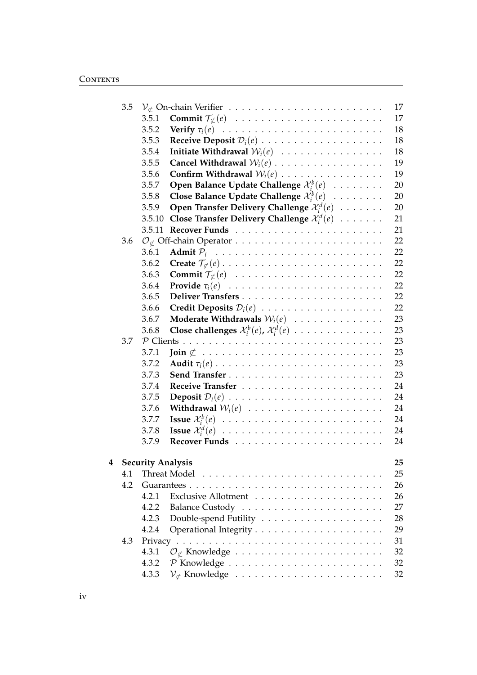|   | 3.5 |                          |                                                                             | 17 |
|---|-----|--------------------------|-----------------------------------------------------------------------------|----|
|   |     | 3.5.1                    | <b>Commit</b> $\mathcal{T}_{\not\subset}(e)$                                | 17 |
|   |     | 3.5.2                    |                                                                             | 18 |
|   |     | 3.5.3                    |                                                                             | 18 |
|   |     | 3.5.4                    | Initiate Withdrawal $W_i(e)$                                                | 18 |
|   |     | 3.5.5                    |                                                                             | 19 |
|   |     | 3.5.6                    | Confirm Withdrawal $W_i(e)$                                                 | 19 |
|   |     | 3.5.7                    | <b>Open Balance Update Challenge</b> $\mathcal{X}_i^b(e) \dots \dots \dots$ | 20 |
|   |     | 3.5.8                    | Close Balance Update Challenge $\mathcal{X}_i^b(e)$                         | 20 |
|   |     | 3.5.9                    | Open Transfer Delivery Challenge $\mathcal{X}_i^d(e)$                       | 20 |
|   |     | 3.5.10                   | Close Transfer Delivery Challenge $\mathcal{X}_i^d(e)$                      | 21 |
|   |     | 3.5.11                   |                                                                             | 21 |
|   | 3.6 |                          |                                                                             | 22 |
|   |     | 3.6.1                    |                                                                             | 22 |
|   |     | 3.6.2                    |                                                                             | 22 |
|   |     | 3.6.3                    | <b>Commit</b> $\mathcal{T}_{\not\subset}(e)$                                | 22 |
|   |     | 3.6.4                    |                                                                             | 22 |
|   |     | 3.6.5                    |                                                                             | 22 |
|   |     | 3.6.6                    | Credit Deposits $\mathcal{D}_i(e)$                                          | 22 |
|   |     | 3.6.7                    | Moderate Withdrawals $\mathcal{W}_i(e)$                                     | 23 |
|   |     | 3.6.8                    | Close challenges $\mathcal{X}_i^b(e)$ , $\mathcal{X}_i^d(e)$                | 23 |
|   | 3.7 | $P$ Clients              | $\mathcal{L}$                                                               | 23 |
|   |     | 3.7.1                    |                                                                             | 23 |
|   |     | 3.7.2                    |                                                                             | 23 |
|   |     | 3.7.3                    |                                                                             | 23 |
|   |     | 3.7.4                    |                                                                             | 24 |
|   |     | 3.7.5                    |                                                                             | 24 |
|   |     | 3.7.6                    | Withdrawal $W_i(e)$                                                         | 24 |
|   |     | 3.7.7                    |                                                                             | 24 |
|   |     | 3.7.8                    |                                                                             | 24 |
|   |     | 3.7.9                    |                                                                             | 24 |
|   |     |                          |                                                                             |    |
| 4 |     | <b>Security Analysis</b> |                                                                             | 25 |
|   | 4.1 |                          |                                                                             | 25 |
|   | 4.2 |                          |                                                                             | 26 |
|   |     | 4.2.1                    |                                                                             | 26 |
|   |     | 4.2.2                    |                                                                             | 27 |
|   |     | 4.2.3                    |                                                                             | 28 |
|   |     | 4.2.4                    |                                                                             | 29 |
|   | 4.3 |                          |                                                                             | 31 |
|   |     | 4.3.1                    | $\mathcal{O}_{\not\subset}$ Knowledge                                       | 32 |
|   |     | 4.3.2                    |                                                                             | 32 |
|   |     | 4.3.3                    |                                                                             | 32 |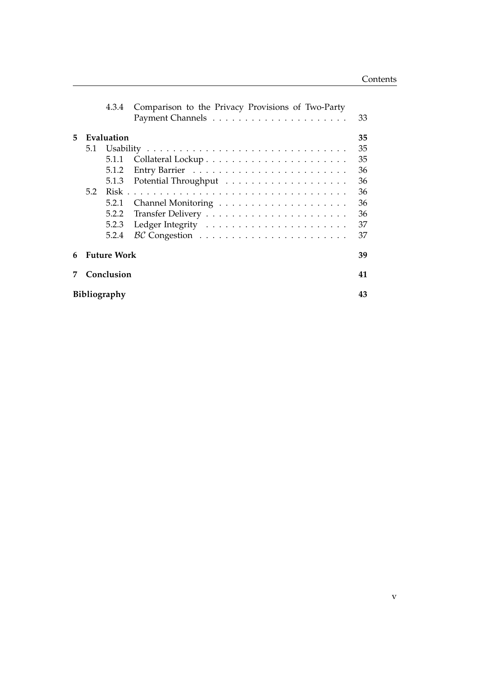|    | 4.3.4                                                                          | Comparison to the Privacy Provisions of Two-Party                  | 33                                                 |  |  |  |  |  |  |
|----|--------------------------------------------------------------------------------|--------------------------------------------------------------------|----------------------------------------------------|--|--|--|--|--|--|
| 5. | Evaluation<br>5.1<br>5.1.1<br>5.1.2<br>5.1.3<br>5.2<br>5.2.1<br>5.2.2<br>5.2.3 |                                                                    | 35<br>35<br>35<br>36<br>36<br>36<br>36<br>36<br>37 |  |  |  |  |  |  |
|    | 5.2.4                                                                          | $BC$ Congestion $\ldots \ldots \ldots \ldots \ldots \ldots \ldots$ | 37                                                 |  |  |  |  |  |  |
| 6  | <b>Future Work</b>                                                             |                                                                    |                                                    |  |  |  |  |  |  |
|    | Conclusion                                                                     |                                                                    |                                                    |  |  |  |  |  |  |
|    | <b>Bibliography</b>                                                            |                                                                    |                                                    |  |  |  |  |  |  |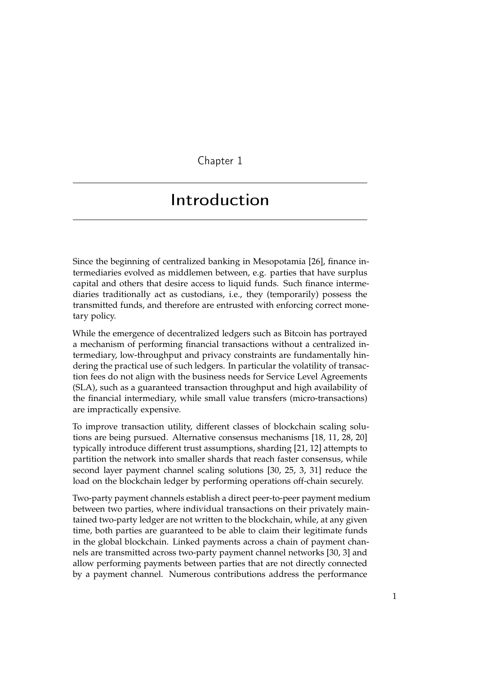Chapter 1

## Introduction

Since the beginning of centralized banking in Mesopotamia [26], finance intermediaries evolved as middlemen between, e.g. parties that have surplus capital and others that desire access to liquid funds. Such finance intermediaries traditionally act as custodians, i.e., they (temporarily) possess the transmitted funds, and therefore are entrusted with enforcing correct monetary policy.

While the emergence of decentralized ledgers such as Bitcoin has portrayed a mechanism of performing financial transactions without a centralized intermediary, low-throughput and privacy constraints are fundamentally hindering the practical use of such ledgers. In particular the volatility of transaction fees do not align with the business needs for Service Level Agreements (SLA), such as a guaranteed transaction throughput and high availability of the financial intermediary, while small value transfers (micro-transactions) are impractically expensive.

To improve transaction utility, different classes of blockchain scaling solutions are being pursued. Alternative consensus mechanisms [18, 11, 28, 20] typically introduce different trust assumptions, sharding [21, 12] attempts to partition the network into smaller shards that reach faster consensus, while second layer payment channel scaling solutions [30, 25, 3, 31] reduce the load on the blockchain ledger by performing operations off-chain securely.

Two-party payment channels establish a direct peer-to-peer payment medium between two parties, where individual transactions on their privately maintained two-party ledger are not written to the blockchain, while, at any given time, both parties are guaranteed to be able to claim their legitimate funds in the global blockchain. Linked payments across a chain of payment channels are transmitted across two-party payment channel networks [30, 3] and allow performing payments between parties that are not directly connected by a payment channel. Numerous contributions address the performance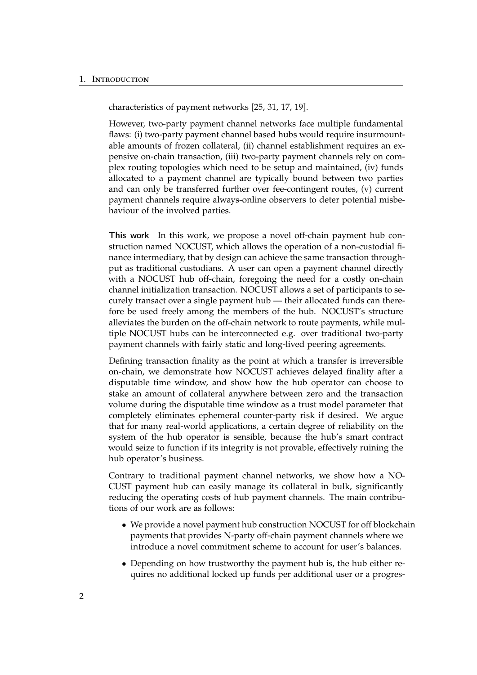#### 1. Introduction

characteristics of payment networks [25, 31, 17, 19].

However, two-party payment channel networks face multiple fundamental flaws: (i) two-party payment channel based hubs would require insurmountable amounts of frozen collateral, (ii) channel establishment requires an expensive on-chain transaction, (iii) two-party payment channels rely on complex routing topologies which need to be setup and maintained, (iv) funds allocated to a payment channel are typically bound between two parties and can only be transferred further over fee-contingent routes, (v) current payment channels require always-online observers to deter potential misbehaviour of the involved parties.

This work In this work, we propose a novel off-chain payment hub construction named NOCUST, which allows the operation of a non-custodial finance intermediary, that by design can achieve the same transaction throughput as traditional custodians. A user can open a payment channel directly with a NOCUST hub off-chain, foregoing the need for a costly on-chain channel initialization transaction. NOCUST allows a set of participants to securely transact over a single payment hub — their allocated funds can therefore be used freely among the members of the hub. NOCUST's structure alleviates the burden on the off-chain network to route payments, while multiple NOCUST hubs can be interconnected e.g. over traditional two-party payment channels with fairly static and long-lived peering agreements.

Defining transaction finality as the point at which a transfer is irreversible on-chain, we demonstrate how NOCUST achieves delayed finality after a disputable time window, and show how the hub operator can choose to stake an amount of collateral anywhere between zero and the transaction volume during the disputable time window as a trust model parameter that completely eliminates ephemeral counter-party risk if desired. We argue that for many real-world applications, a certain degree of reliability on the system of the hub operator is sensible, because the hub's smart contract would seize to function if its integrity is not provable, effectively ruining the hub operator's business.

Contrary to traditional payment channel networks, we show how a NO-CUST payment hub can easily manage its collateral in bulk, significantly reducing the operating costs of hub payment channels. The main contributions of our work are as follows:

- We provide a novel payment hub construction NOCUST for off blockchain payments that provides N-party off-chain payment channels where we introduce a novel commitment scheme to account for user's balances.
- Depending on how trustworthy the payment hub is, the hub either requires no additional locked up funds per additional user or a progres-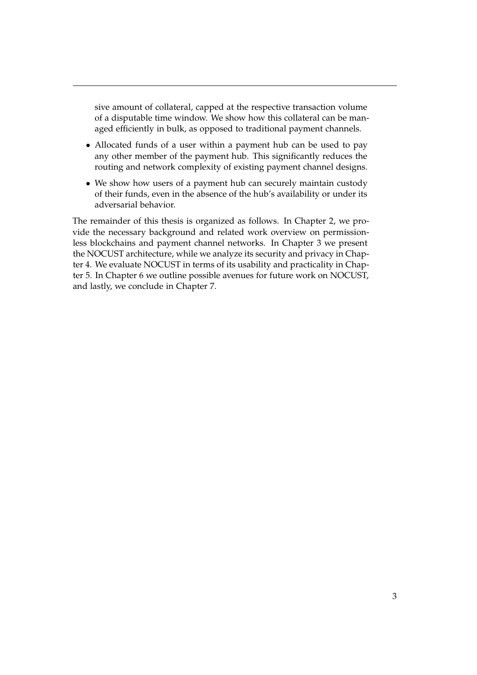sive amount of collateral, capped at the respective transaction volume of a disputable time window. We show how this collateral can be managed efficiently in bulk, as opposed to traditional payment channels.

- Allocated funds of a user within a payment hub can be used to pay any other member of the payment hub. This significantly reduces the routing and network complexity of existing payment channel designs.
- We show how users of a payment hub can securely maintain custody of their funds, even in the absence of the hub's availability or under its adversarial behavior.

The remainder of this thesis is organized as follows. In Chapter 2, we provide the necessary background and related work overview on permissionless blockchains and payment channel networks. In Chapter 3 we present the NOCUST architecture, while we analyze its security and privacy in Chapter 4. We evaluate NOCUST in terms of its usability and practicality in Chapter 5. In Chapter 6 we outline possible avenues for future work on NOCUST, and lastly, we conclude in Chapter 7.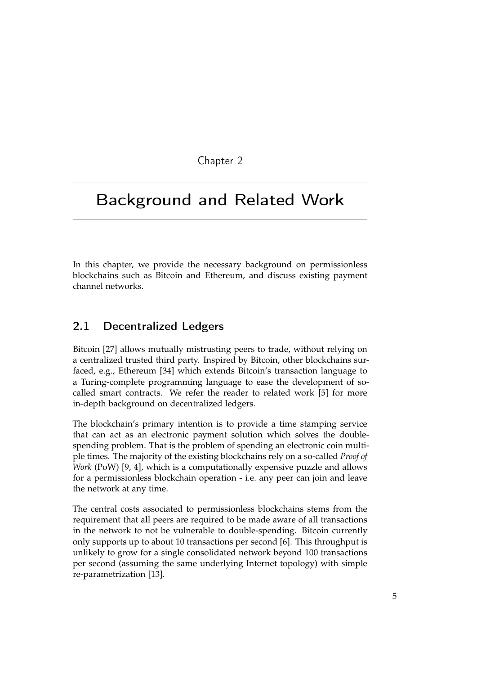Chapter 2

## Background and Related Work

In this chapter, we provide the necessary background on permissionless blockchains such as Bitcoin and Ethereum, and discuss existing payment channel networks.

## 2.1 Decentralized Ledgers

Bitcoin [27] allows mutually mistrusting peers to trade, without relying on a centralized trusted third party. Inspired by Bitcoin, other blockchains surfaced, e.g., Ethereum [34] which extends Bitcoin's transaction language to a Turing-complete programming language to ease the development of socalled smart contracts. We refer the reader to related work [5] for more in-depth background on decentralized ledgers.

The blockchain's primary intention is to provide a time stamping service that can act as an electronic payment solution which solves the doublespending problem. That is the problem of spending an electronic coin multiple times. The majority of the existing blockchains rely on a so-called *Proof of Work* (PoW) [9, 4], which is a computationally expensive puzzle and allows for a permissionless blockchain operation - i.e. any peer can join and leave the network at any time.

The central costs associated to permissionless blockchains stems from the requirement that all peers are required to be made aware of all transactions in the network to not be vulnerable to double-spending. Bitcoin currently only supports up to about 10 transactions per second [6]. This throughput is unlikely to grow for a single consolidated network beyond 100 transactions per second (assuming the same underlying Internet topology) with simple re-parametrization [13].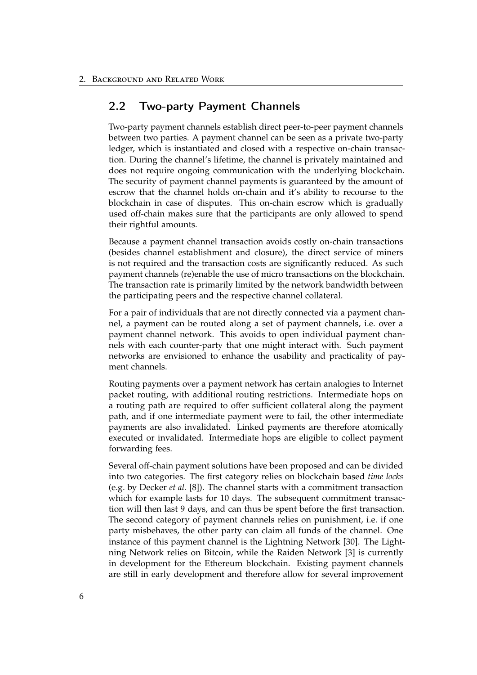### 2.2 Two-party Payment Channels

Two-party payment channels establish direct peer-to-peer payment channels between two parties. A payment channel can be seen as a private two-party ledger, which is instantiated and closed with a respective on-chain transaction. During the channel's lifetime, the channel is privately maintained and does not require ongoing communication with the underlying blockchain. The security of payment channel payments is guaranteed by the amount of escrow that the channel holds on-chain and it's ability to recourse to the blockchain in case of disputes. This on-chain escrow which is gradually used off-chain makes sure that the participants are only allowed to spend their rightful amounts.

Because a payment channel transaction avoids costly on-chain transactions (besides channel establishment and closure), the direct service of miners is not required and the transaction costs are significantly reduced. As such payment channels (re)enable the use of micro transactions on the blockchain. The transaction rate is primarily limited by the network bandwidth between the participating peers and the respective channel collateral.

For a pair of individuals that are not directly connected via a payment channel, a payment can be routed along a set of payment channels, i.e. over a payment channel network. This avoids to open individual payment channels with each counter-party that one might interact with. Such payment networks are envisioned to enhance the usability and practicality of payment channels.

Routing payments over a payment network has certain analogies to Internet packet routing, with additional routing restrictions. Intermediate hops on a routing path are required to offer sufficient collateral along the payment path, and if one intermediate payment were to fail, the other intermediate payments are also invalidated. Linked payments are therefore atomically executed or invalidated. Intermediate hops are eligible to collect payment forwarding fees.

Several off-chain payment solutions have been proposed and can be divided into two categories. The first category relies on blockchain based *time locks* (e.g. by Decker *et al.* [8]). The channel starts with a commitment transaction which for example lasts for 10 days. The subsequent commitment transaction will then last 9 days, and can thus be spent before the first transaction. The second category of payment channels relies on punishment, i.e. if one party misbehaves, the other party can claim all funds of the channel. One instance of this payment channel is the Lightning Network [30]. The Lightning Network relies on Bitcoin, while the Raiden Network [3] is currently in development for the Ethereum blockchain. Existing payment channels are still in early development and therefore allow for several improvement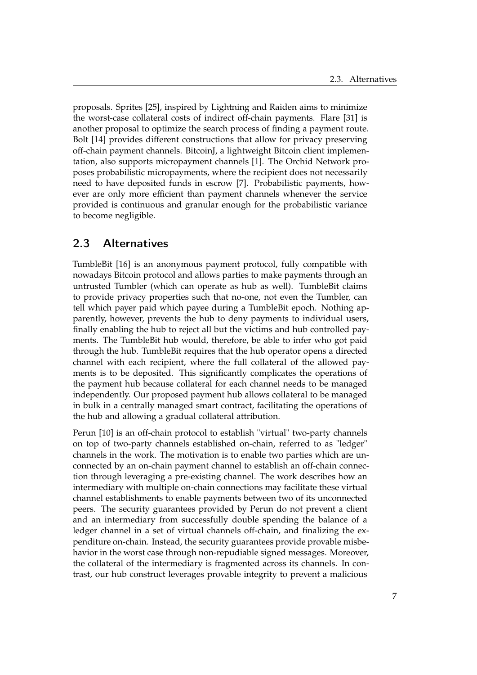proposals. Sprites [25], inspired by Lightning and Raiden aims to minimize the worst-case collateral costs of indirect off-chain payments. Flare [31] is another proposal to optimize the search process of finding a payment route. Bolt [14] provides different constructions that allow for privacy preserving off-chain payment channels. BitcoinJ, a lightweight Bitcoin client implementation, also supports micropayment channels [1]. The Orchid Network proposes probabilistic micropayments, where the recipient does not necessarily need to have deposited funds in escrow [7]. Probabilistic payments, however are only more efficient than payment channels whenever the service provided is continuous and granular enough for the probabilistic variance to become negligible.

## 2.3 Alternatives

TumbleBit [16] is an anonymous payment protocol, fully compatible with nowadays Bitcoin protocol and allows parties to make payments through an untrusted Tumbler (which can operate as hub as well). TumbleBit claims to provide privacy properties such that no-one, not even the Tumbler, can tell which payer paid which payee during a TumbleBit epoch. Nothing apparently, however, prevents the hub to deny payments to individual users, finally enabling the hub to reject all but the victims and hub controlled payments. The TumbleBit hub would, therefore, be able to infer who got paid through the hub. TumbleBit requires that the hub operator opens a directed channel with each recipient, where the full collateral of the allowed payments is to be deposited. This significantly complicates the operations of the payment hub because collateral for each channel needs to be managed independently. Our proposed payment hub allows collateral to be managed in bulk in a centrally managed smart contract, facilitating the operations of the hub and allowing a gradual collateral attribution.

Perun [10] is an off-chain protocol to establish "virtual" two-party channels on top of two-party channels established on-chain, referred to as "ledger" channels in the work. The motivation is to enable two parties which are unconnected by an on-chain payment channel to establish an off-chain connection through leveraging a pre-existing channel. The work describes how an intermediary with multiple on-chain connections may facilitate these virtual channel establishments to enable payments between two of its unconnected peers. The security guarantees provided by Perun do not prevent a client and an intermediary from successfully double spending the balance of a ledger channel in a set of virtual channels off-chain, and finalizing the expenditure on-chain. Instead, the security guarantees provide provable misbehavior in the worst case through non-repudiable signed messages. Moreover, the collateral of the intermediary is fragmented across its channels. In contrast, our hub construct leverages provable integrity to prevent a malicious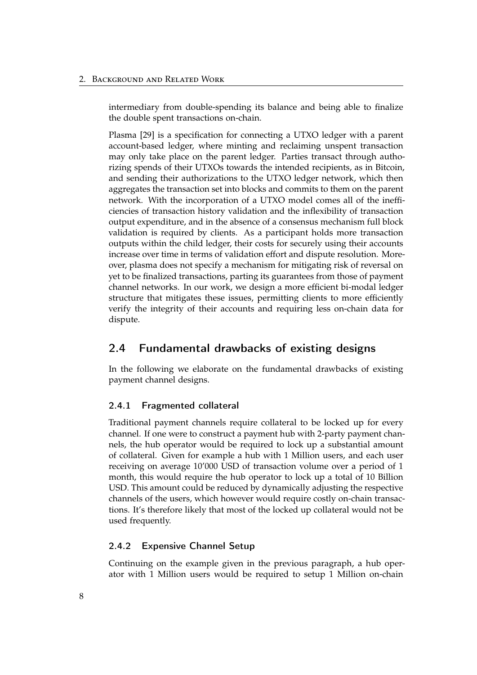intermediary from double-spending its balance and being able to finalize the double spent transactions on-chain.

Plasma [29] is a specification for connecting a UTXO ledger with a parent account-based ledger, where minting and reclaiming unspent transaction may only take place on the parent ledger. Parties transact through authorizing spends of their UTXOs towards the intended recipients, as in Bitcoin, and sending their authorizations to the UTXO ledger network, which then aggregates the transaction set into blocks and commits to them on the parent network. With the incorporation of a UTXO model comes all of the inefficiencies of transaction history validation and the inflexibility of transaction output expenditure, and in the absence of a consensus mechanism full block validation is required by clients. As a participant holds more transaction outputs within the child ledger, their costs for securely using their accounts increase over time in terms of validation effort and dispute resolution. Moreover, plasma does not specify a mechanism for mitigating risk of reversal on yet to be finalized transactions, parting its guarantees from those of payment channel networks. In our work, we design a more efficient bi-modal ledger structure that mitigates these issues, permitting clients to more efficiently verify the integrity of their accounts and requiring less on-chain data for dispute.

## 2.4 Fundamental drawbacks of existing designs

In the following we elaborate on the fundamental drawbacks of existing payment channel designs.

#### 2.4.1 Fragmented collateral

Traditional payment channels require collateral to be locked up for every channel. If one were to construct a payment hub with 2-party payment channels, the hub operator would be required to lock up a substantial amount of collateral. Given for example a hub with 1 Million users, and each user receiving on average 10'000 USD of transaction volume over a period of 1 month, this would require the hub operator to lock up a total of 10 Billion USD. This amount could be reduced by dynamically adjusting the respective channels of the users, which however would require costly on-chain transactions. It's therefore likely that most of the locked up collateral would not be used frequently.

#### 2.4.2 Expensive Channel Setup

Continuing on the example given in the previous paragraph, a hub operator with 1 Million users would be required to setup 1 Million on-chain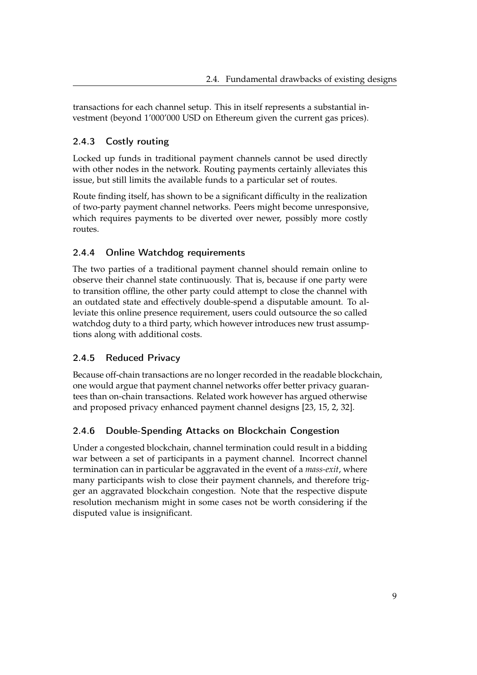transactions for each channel setup. This in itself represents a substantial investment (beyond 1'000'000 USD on Ethereum given the current gas prices).

## 2.4.3 Costly routing

Locked up funds in traditional payment channels cannot be used directly with other nodes in the network. Routing payments certainly alleviates this issue, but still limits the available funds to a particular set of routes.

Route finding itself, has shown to be a significant difficulty in the realization of two-party payment channel networks. Peers might become unresponsive, which requires payments to be diverted over newer, possibly more costly routes.

### 2.4.4 Online Watchdog requirements

The two parties of a traditional payment channel should remain online to observe their channel state continuously. That is, because if one party were to transition offline, the other party could attempt to close the channel with an outdated state and effectively double-spend a disputable amount. To alleviate this online presence requirement, users could outsource the so called watchdog duty to a third party, which however introduces new trust assumptions along with additional costs.

### 2.4.5 Reduced Privacy

Because off-chain transactions are no longer recorded in the readable blockchain, one would argue that payment channel networks offer better privacy guarantees than on-chain transactions. Related work however has argued otherwise and proposed privacy enhanced payment channel designs [23, 15, 2, 32].

## 2.4.6 Double-Spending Attacks on Blockchain Congestion

Under a congested blockchain, channel termination could result in a bidding war between a set of participants in a payment channel. Incorrect channel termination can in particular be aggravated in the event of a *mass-exit*, where many participants wish to close their payment channels, and therefore trigger an aggravated blockchain congestion. Note that the respective dispute resolution mechanism might in some cases not be worth considering if the disputed value is insignificant.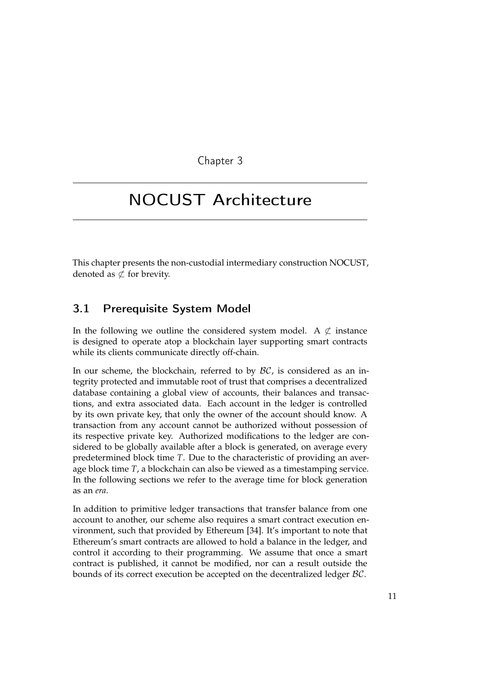Chapter 3

## NOCUST Architecture

This chapter presents the non-custodial intermediary construction NOCUST, denoted as  $\not\subset$  for brevity.

## 3.1 Prerequisite System Model

In the following we outline the considered system model. A  $\&$  instance is designed to operate atop a blockchain layer supporting smart contracts while its clients communicate directly off-chain.

In our scheme, the blockchain, referred to by  $\beta\mathcal{C}$ , is considered as an integrity protected and immutable root of trust that comprises a decentralized database containing a global view of accounts, their balances and transactions, and extra associated data. Each account in the ledger is controlled by its own private key, that only the owner of the account should know. A transaction from any account cannot be authorized without possession of its respective private key. Authorized modifications to the ledger are considered to be globally available after a block is generated, on average every predetermined block time *T*. Due to the characteristic of providing an average block time *T*, a blockchain can also be viewed as a timestamping service. In the following sections we refer to the average time for block generation as an *era*.

In addition to primitive ledger transactions that transfer balance from one account to another, our scheme also requires a smart contract execution environment, such that provided by Ethereum [34]. It's important to note that Ethereum's smart contracts are allowed to hold a balance in the ledger, and control it according to their programming. We assume that once a smart contract is published, it cannot be modified, nor can a result outside the bounds of its correct execution be accepted on the decentralized ledger BC.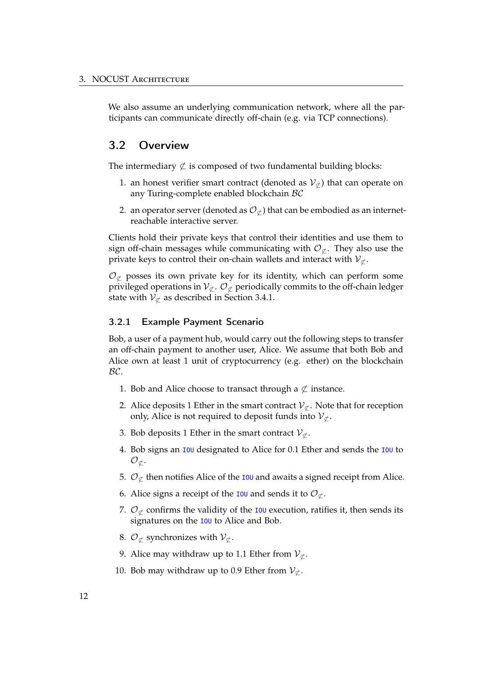We also assume an underlying communication network, where all the participants can communicate directly off-chain (e.g. via TCP connections).

### 3.2 Overview

The intermediary  $\&$  is composed of two fundamental building blocks:

- 1. an honest verifier smart contract (denoted as  $V_{\sigma}$ ) that can operate on any Turing-complete enabled blockchain BC
- 2. an operator server (denoted as  $\mathcal{O}_{\mathcal{L}}$ ) that can be embodied as an internetreachable interactive server.

Clients hold their private keys that control their identities and use them to sign off-chain messages while communicating with  $\mathcal{O}_{\sigma}$ . They also use the private keys to control their on-chain wallets and interact with  $V_{\sigma}$ .

 $\mathcal{O}_{\sigma}$  posses its own private key for its identity, which can perform some privileged operations in  $\mathcal{V}_{\not\subset}$ .  $\mathcal{O}_{\not\subset}$  periodically commits to the off-chain ledger state with  $V_{\sigma}$  as described in Section 3.4.1.

#### 3.2.1 Example Payment Scenario

Bob, a user of a payment hub, would carry out the following steps to transfer an off-chain payment to another user, Alice. We assume that both Bob and Alice own at least 1 unit of cryptocurrency (e.g. ether) on the blockchain BC.

- 1. Bob and Alice choose to transact through a  $\not\subset$  instance.
- 2. Alice deposits 1 Ether in the smart contract  $V_{\mathcal{C}}$ . Note that for reception only, Alice is not required to deposit funds into  $V_{\nsubseteq}$ .
- 3. Bob deposits 1 Ether in the smart contract  $V_{\nsubseteq}$ .
- 4. Bob signs an 100 designated to Alice for 0.1 Ether and sends the 100 to  $\mathcal{O}_{\sigma}$ .
- 5.  $\mathcal{O}_{\mathcal{C}}$  then notifies Alice of the **IOU** and awaits a signed receipt from Alice.
- 6. Alice signs a receipt of the **IOU** and sends it to  $\mathcal{O}_{\mathcal{L}}$ .
- 7.  $\mathcal{O}_{\mathcal{L}}$  confirms the validity of the IOU execution, ratifies it, then sends its signatures on the IOU to Alice and Bob.
- 8.  $\mathcal{O}_{\not\subset}$  synchronizes with  $\mathcal{V}_{\not\subset}$ .
- 9. Alice may withdraw up to 1.1 Ether from  $V_{\sigma}$ .
- 10. Bob may withdraw up to 0.9 Ether from  $V_{\sigma}$ .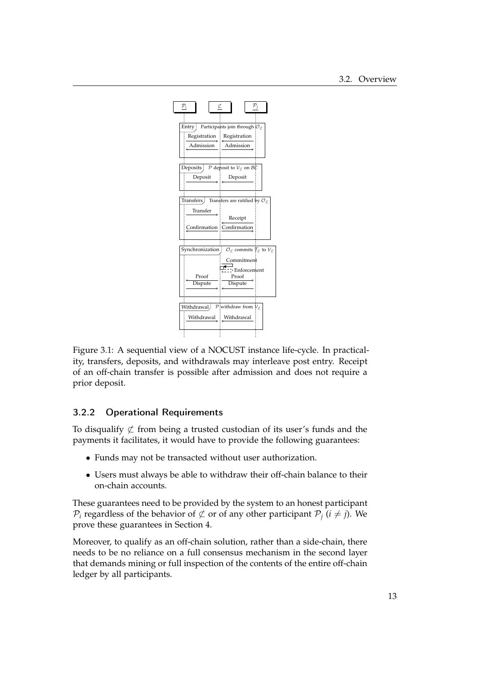

Figure 3.1: A sequential view of a NOCUST instance life-cycle. In practicality, transfers, deposits, and withdrawals may interleave post entry. Receipt of an off-chain transfer is possible after admission and does not require a prior deposit.

### 3.2.2 Operational Requirements

To disqualify  $\not\subset$  from being a trusted custodian of its user's funds and the payments it facilitates, it would have to provide the following guarantees:

- Funds may not be transacted without user authorization.
- Users must always be able to withdraw their off-chain balance to their on-chain accounts.

These guarantees need to be provided by the system to an honest participant  $\mathcal{P}_i$  regardless of the behavior of  $\not\subset$  or of any other participant  $\mathcal{P}_i$  ( $i \neq j$ ). We prove these guarantees in Section 4.

Moreover, to qualify as an off-chain solution, rather than a side-chain, there needs to be no reliance on a full consensus mechanism in the second layer that demands mining or full inspection of the contents of the entire off-chain ledger by all participants.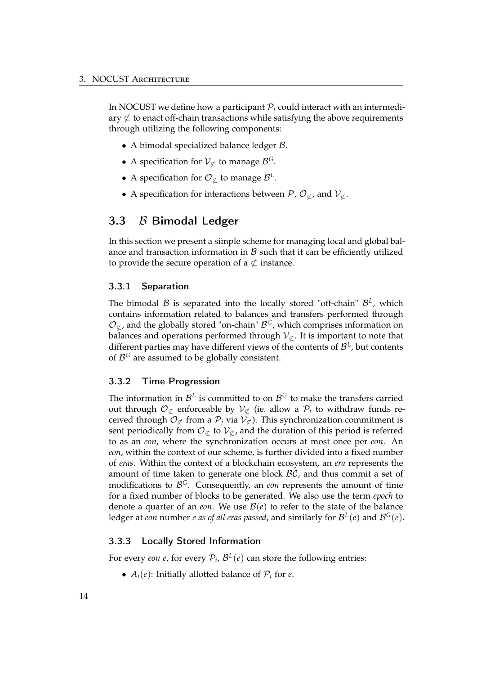In NOCUST we define how a participant  $P_i$  could interact with an intermediary  $\not\subset$  to enact off-chain transactions while satisfying the above requirements through utilizing the following components:

- A bimodal specialized balance ledger B.
- A specification for  $V_{\sigma}$  to manage  $\mathcal{B}^{\mathcal{G}}$ .
- A specification for  $\mathcal{O}_{\sigma}$  to manage  $\mathcal{B}^{L}$ .
- A specification for interactions between  $\mathcal{P}, \mathcal{O}_{\sigma}$ , and  $\mathcal{V}_{\sigma}$ .

### 3.3 B Bimodal Ledger

In this section we present a simple scheme for managing local and global balance and transaction information in  $B$  such that it can be efficiently utilized to provide the secure operation of a  $\&$  instance.

#### 3.3.1 Separation

The bimodal  $B$  is separated into the locally stored "off-chain"  $B<sup>L</sup>$ , which contains information related to balances and transfers performed through  $\mathcal{O}_{\mathcal{L}}$ , and the globally stored "on-chain"  $\mathcal{B}^G$ , which comprises information on balances and operations performed through  $\mathcal{V}_{\sigma}$ . It is important to note that different parties may have different views of the contents of  $\mathcal{B}^L$ , but contents of <sup>B</sup>*<sup>G</sup>* are assumed to be globally consistent.

#### 3.3.2 Time Progression

The information in  $\mathcal{B}^L$  is committed to on  $\mathcal{B}^G$  to make the transfers carried out through  $\mathcal{O}_{\not\subset}$  enforceable by  $\mathcal{V}_{\not\subset}$  (ie. allow a  $\mathcal{P}_i$  to withdraw funds received through  $\mathcal{O}_{\mathcal{L}}$  from a  $\mathcal{P}_j$  via  $\mathcal{V}_{\mathcal{L}}$ ). This synchronization commitment is sent periodically from  $\mathcal{O}_{\mathcal{L}}$  to  $\mathcal{V}_{\mathcal{L}}$ , and the duration of this period is referred to as an *eon*, where the synchronization occurs at most once per *eon*. An *eon*, within the context of our scheme, is further divided into a fixed number of *eras*. Within the context of a blockchain ecosystem, an *era* represents the amount of time taken to generate one block  $\beta\mathcal{C}$ , and thus commit a set of modifications to <sup>B</sup>*G*. Consequently, an *eon* represents the amount of time for a fixed number of blocks to be generated. We also use the term *epoch* to denote a quarter of an *eon*. We use  $\mathcal{B}(e)$  to refer to the state of the balance ledger at *eon* number *e as of all eras passed*, and similarly for  $\mathcal{B}^{\perp}(e)$  and  $\mathcal{B}^{\perp}(e)$ .

#### 3.3.3 Locally Stored Information

For every *eon e*, for every  $P_i$ ,  $\mathcal{B}^L(e)$  can store the following entries:

•  $A_i(e)$ : Initially allotted balance of  $P_i$  for *e*.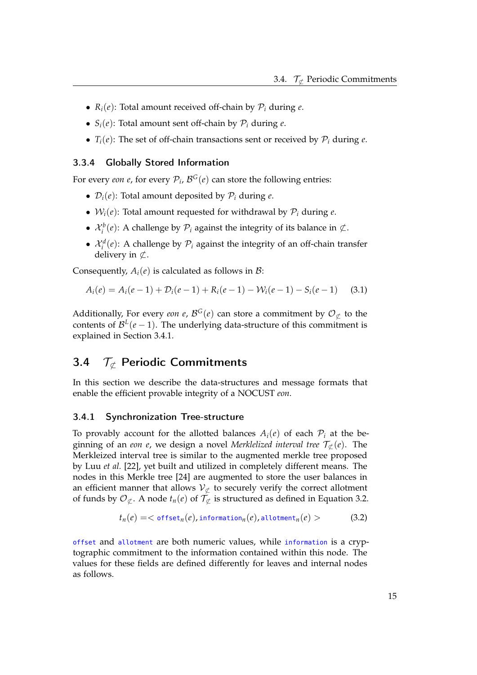- $R_i(e)$ : Total amount received off-chain by  $P_i$  during  $e$ .
- $S_i(e)$ : Total amount sent off-chain by  $P_i$  during  $e$ .
- $T_i(e)$ : The set of off-chain transactions sent or received by  $P_i$  during  $e$ .

### 3.3.4 Globally Stored Information

For every *eon e*, for every  $P_i$ ,  $\mathcal{B}^G(e)$  can store the following entries:

- $\mathcal{D}_i(e)$ : Total amount deposited by  $\mathcal{P}_i$  during *e*.
- $W_i(e)$ : Total amount requested for withdrawal by  $P_i$  during  $e$ .
- $\mathcal{X}_i^b(e)$ : A challenge by  $\mathcal{P}_i$  against the integrity of its balance in  $\mathcal{L}$ .
- $\mathcal{X}_i^d(e)$ : A challenge by  $\mathcal{P}_i$  against the integrity of an off-chain transfer delivery in  $\subset$ .

Consequently,  $A_i(e)$  is calculated as follows in  $\mathcal{B}$ :

$$
A_i(e) = A_i(e-1) + D_i(e-1) + R_i(e-1) - W_i(e-1) - S_i(e-1)
$$
 (3.1)

Additionally, For every *eon e*,  $\mathcal{B}^G(e)$  can store a commitment by  $\mathcal{O}_{\mathcal{L}}$  to the contents of  $\mathcal{B}^L(e-1)$ . The underlying data-structure of this commitment is explained in Section 3.4.1.

## 3.4  $\mathcal{T}_{\sigma}$  Periodic Commitments

In this section we describe the data-structures and message formats that enable the efficient provable integrity of a NOCUST *eon*.

#### 3.4.1 Synchronization Tree-structure

To provably account for the allotted balances  $A_i(e)$  of each  $P_i$  at the beginning of an *eon e*, we design a novel *Merklelized interval tree*  $\mathcal{T}_{\sigma}(e)$ . The Merkleized interval tree is similar to the augmented merkle tree proposed by Luu *et al.* [22], yet built and utilized in completely different means. The nodes in this Merkle tree [24] are augmented to store the user balances in an efficient manner that allows  $V_{\subset\subset}$  to securely verify the correct allotment of funds by  $\mathcal{O}_{\mathcal{L}}$ . A node  $t_n(e)$  of  $\mathcal{T}_{\mathcal{L}}$  is structured as defined in Equation 3.2.

$$
t_n(e) = \langle \text{ offset}_n(e), \text{information}_n(e), \text{allotment}_n(e) \rangle \tag{3.2}
$$

offset and allotment are both numeric values, while information is a cryptographic commitment to the information contained within this node. The values for these fields are defined differently for leaves and internal nodes as follows.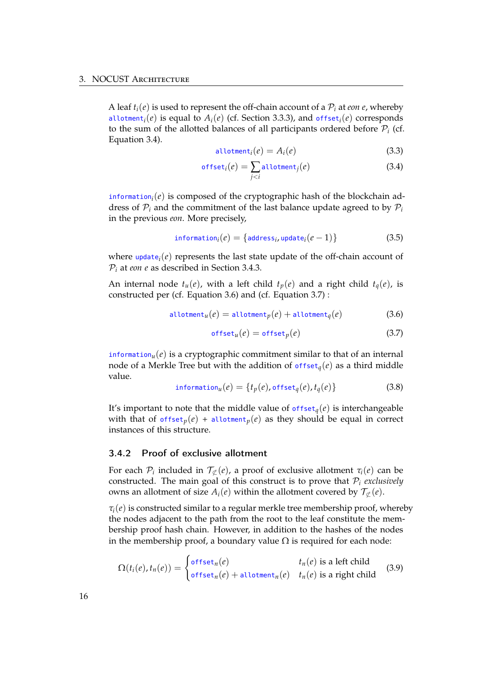A leaf  $t_i(e)$  is used to represent the off-chain account of a  $P_i$  at *eon e*, whereby allotment<sub>*i*</sub>(*e*) is equal to  $A_i(e)$  (cf. Section 3.3.3), and offset<sub>*i*</sub>(*e*) corresponds to the sum of the allotted balances of all participants ordered before  $P_i$  (cf. Equation 3.4).

$$
allotmenti(e) = Ai(e)
$$
\n(3.3)

$$
\text{offset}_i(e) = \sum_{j < i} \text{allotment}_j(e) \tag{3.4}
$$

information*i*(*e*) is composed of the cryptographic hash of the blockchain address of  $P_i$  and the commitment of the last balance update agreed to by  $P_i$ in the previous *eon*. More precisely,

$$
information_i(e) = \{address_i, update_i(e-1)\}\
$$
 (3.5)

where  $update_i(e)$  represents the last state update of the off-chain account of P*<sup>i</sup>* at *eon e* as described in Section 3.4.3.

An internal node  $t_u(e)$ , with a left child  $t_p(e)$  and a right child  $t_a(e)$ , is constructed per (cf. Equation 3.6) and (cf. Equation 3.7) :

$$
\text{allotment}_{u}(e) = \text{allotment}_{p}(e) + \text{allotment}_{q}(e) \tag{3.6}
$$

$$
\mathsf{offset}_u(e) = \mathsf{offset}_p(e) \tag{3.7}
$$

information<sub>*u*</sub>( $e$ ) is a cryptographic commitment similar to that of an internal node of a Merkle Tree but with the addition of  $offset_{q}(e)$  as a third middle value.

$$
\text{information}_u(e) = \{t_p(e), \text{offset}_q(e), t_q(e)\}\tag{3.8}
$$

It's important to note that the middle value of  $offset<sub>q</sub>(e)$  is interchangeable with that of offset<sub>p</sub>( $e$ ) + allotment<sub>p</sub>( $e$ ) as they should be equal in correct instances of this structure.

#### 3.4.2 Proof of exclusive allotment

For each  $P_i$  included in  $T_{\mathcal{L}}(e)$ , a proof of exclusive allotment  $\tau_i(e)$  can be constructed. The main goal of this construct is to prove that  $P_i$  *exclusively* owns an allotment of size  $A_i(e)$  within the allotment covered by  $\mathcal{T}_{\phi}(e)$ .

 $\tau_i(e)$  is constructed similar to a regular merkle tree membership proof, whereby the nodes adjacent to the path from the root to the leaf constitute the membership proof hash chain. However, in addition to the hashes of the nodes in the membership proof, a boundary value  $\Omega$  is required for each node:

$$
\Omega(t_i(e), t_n(e)) = \begin{cases} \text{offset}_n(e) & t_n(e) \text{ is a left child} \\ \text{offset}_n(e) + \text{allotment}_n(e) & t_n(e) \text{ is a right child} \end{cases} \tag{3.9}
$$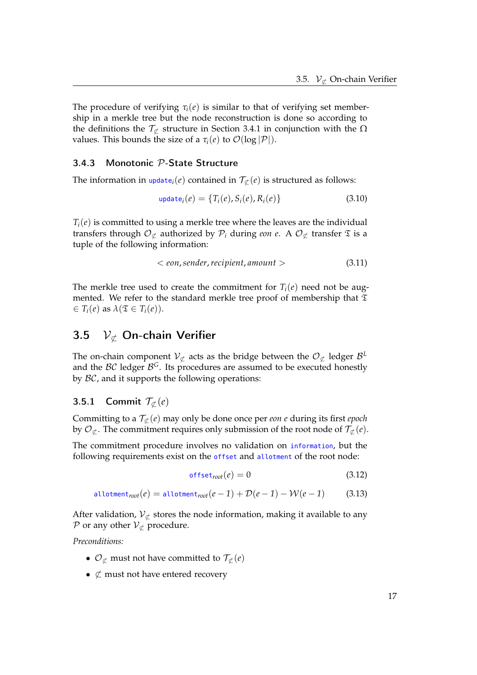The procedure of verifying  $\tau_i(e)$  is similar to that of verifying set membership in a merkle tree but the node reconstruction is done so according to the definitions the  $\mathcal{T}_{\sigma}$  structure in Section 3.4.1 in conjunction with the  $\Omega$ values. This bounds the size of a  $\tau_i(e)$  to  $\mathcal{O}(\log |\mathcal{P}|)$ .

#### 3.4.3 Monotonic P-State Structure

The information in  $update_i(e)$  contained in  $\mathcal{T}_{\mathcal{L}}(e)$  is structured as follows:

$$
update_i(e) = \{T_i(e), S_i(e), R_i(e)\}
$$
\n(3.10)

 $T_i(e)$  is committed to using a merkle tree where the leaves are the individual transfers through  $\mathcal{O}_{\not\subset}$  authorized by  $\mathcal{P}_i$  during *eon e*. A  $\mathcal{O}_{\not\subset}$  transfer  $\mathfrak T$  is a tuple of the following information:

$$
< eon, sender, recipient, amount > \tag{3.11}
$$

The merkle tree used to create the commitment for  $T_i(e)$  need not be augmented. We refer to the standard merkle tree proof of membership that  $\mathfrak T$  $\in T_i(e)$  as  $\lambda(\mathfrak{T} \in T_i(e)).$ 

## 3.5  $V_{\not\subset}$  On-chain Verifier

The on-chain component  $V_{\mathcal{L}}$  acts as the bridge between the  $\mathcal{O}_{\mathcal{L}}$  ledger  $\mathcal{B}^L$ and the  $\beta\mathcal{C}$  ledger  $\beta^G$ . Its procedures are assumed to be executed honestly by  $BC$ , and it supports the following operations:

#### 3.5.1 Commit  $\mathcal{T}_{\sigma}(e)$

Committing to a  $\mathcal{T}_{\not\subset}(e)$  may only be done once per *eon e* during its first *epoch* by  $\mathcal{O}_{\not\subset}$ . The commitment requires only submission of the root node of  $\mathcal{T}_{\not\subset}(e)$ .

The commitment procedure involves no validation on information, but the following requirements exist on the offset and allotment of the root node:

$$
\mathsf{offset}_{root}(e) = 0 \tag{3.12}
$$

$$
\text{allotment}_{\text{root}}(e) = \text{allotment}_{\text{root}}(e-1) + \mathcal{D}(e-1) - \mathcal{W}(e-1) \tag{3.13}
$$

After validation,  $V_{\nsubseteq}$  stores the node information, making it available to any P or any other  $V_{\nsubseteq}$  procedure.

*Preconditions:*

- $\mathcal{O}_{\mathcal{L}}$  must not have committed to  $\mathcal{T}_{\mathcal{L}}(e)$
- $\not\subset$  must not have entered recovery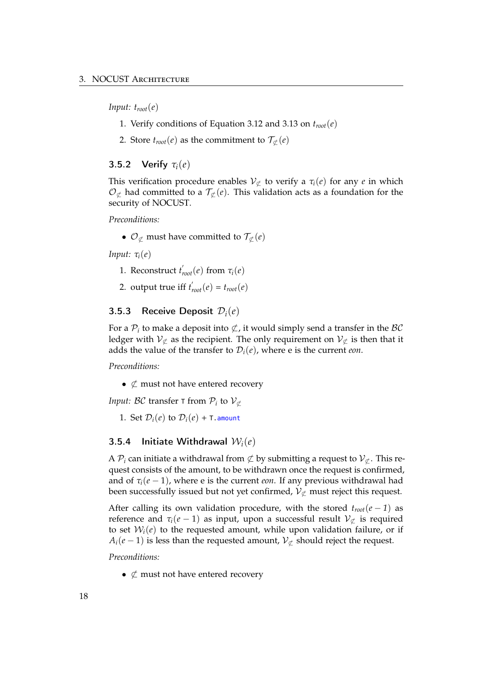*Input:*  $t_{root}(e)$ 

- 1. Verify conditions of Equation 3.12 and 3.13 on *troot*(*e*)
- 2. Store  $t_{root}(e)$  as the commitment to  $\mathcal{T}_{\mathcal{L}}(e)$

#### 3.5.2 Verify *τi*(*e*)

This verification procedure enables  $V_{\subset\subset}$  to verify a  $\tau_i(e)$  for any *e* in which  $\mathcal{O}_{\mathcal{L}}$  had committed to a  $\mathcal{T}_{\mathcal{L}}(e)$ . This validation acts as a foundation for the security of NOCUST.

*Preconditions:*

•  $\mathcal{O}_{\not\subset \mathcal{D}}$  must have committed to  $\mathcal{T}_{\not\subset}(e)$ 

*Input: τi*(*e*)

- 1. Reconstruct  $t'_{root}(e)$  from  $\tau_i(e)$
- 2. output true if  $t'_{root}(e) = t_{root}(e)$

#### 3.5.3 Receive Deposit D*i*(*e*)

For a  $P_i$  to make a deposit into  $\not\subset$ , it would simply send a transfer in the  $\mathcal{BC}$ ledger with  $V_{\nsubseteq}$  as the recipient. The only requirement on  $V_{\nsubseteq}$  is then that it adds the value of the transfer to  $\mathcal{D}_i(e)$ , where e is the current *eon*.

*Preconditions:*

•  $\not\subset$  must not have entered recovery

*Input: BC* transfer  $\tau$  from  $\mathcal{P}_i$  to  $\mathcal{V}_{\sigma}$ 

1. Set  $\mathcal{D}_i(e)$  to  $\mathcal{D}_i(e)$  + T. amount

#### 3.5.4 Initiate Withdrawal W*i*(*e*)

A  $\mathcal{P}_i$  can initiate a withdrawal from  $\not\subset$  by submitting a request to  $\mathcal{V}_{\not\subset}$ . This request consists of the amount, to be withdrawn once the request is confirmed, and of  $\tau_i(e-1)$ , where e is the current *eon*. If any previous withdrawal had been successfully issued but not yet confirmed,  $V_{\not\subset}$  must reject this request.

After calling its own validation procedure, with the stored  $t_{root}(e-1)$  as reference and  $\tau_i(e-1)$  as input, upon a successful result  $\mathcal{V}_{\not\subset}$  is required to set  $W_i(e)$  to the requested amount, while upon validation failure, or if  $A_i(e-1)$  is less than the requested amount,  $V_{\nsubseteq}$  should reject the request.

*Preconditions:*

•  $\not\subset$  must not have entered recovery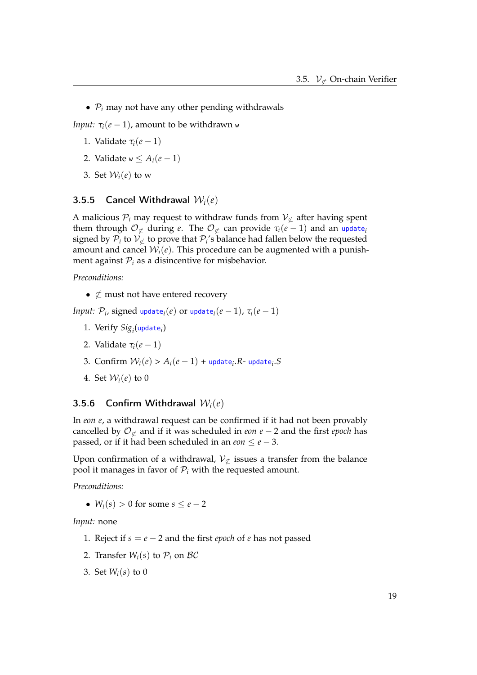•  $P_i$  may not have any other pending withdrawals

*Input:*  $\tau_i(e-1)$ , amount to be withdrawn w

- 1. Validate  $\tau_i(e-1)$
- 2. Validate  $w \leq A_i(e-1)$
- 3. Set  $W_i(e)$  to w

#### 3.5.5 Cancel Withdrawal W*i*(*e*)

A malicious  $P_i$  may request to withdraw funds from  $V_{\sigma}$  after having spent them through  $\mathcal{O}_{\not\subset}$  during *e*. The  $\mathcal{O}_{\not\subset}$  can provide  $\tau_i(e-1)$  and an update<sub>*i*</sub> signed by  $P_i$  to  $V_{\mathcal{L}}$  to prove that  $P_i$ 's balance had fallen below the requested amount and cancel  $W_i(e)$ . This procedure can be augmented with a punishment against  $P_i$  as a disincentive for misbehavior.

*Preconditions:*

•  $\not\subset$  must not have entered recovery

*Input:*  $\mathcal{P}_i$ , signed update<sub>*i*</sub></sub>(*e*) or update<sub>*i*</sub>(*e* − 1),  $\tau_i$ (*e* − 1)

- 1. Verify *Sigi* (update*i*)
- 2. Validate  $\tau_i(e-1)$
- 3. Confirm  $W_i(e) > A_i(e-1) + \text{update}_i \cdot R$  update<sub>i</sub>. S
- 4. Set  $W_i(e)$  to 0

#### 3.5.6 Confirm Withdrawal W*i*(*e*)

In *eon e*, a withdrawal request can be confirmed if it had not been provably cancelled by  $\mathcal{O}_{\not\subset}$  and if it was scheduled in *eon e* − 2 and the first *epoch* has passed, or if it had been scheduled in an *eon*  $\leq e-3$ .

Upon confirmation of a withdrawal,  $V_{\not\subset}$  issues a transfer from the balance pool it manages in favor of  $P_i$  with the requested amount.

*Preconditions:*

•  $W_i(s) > 0$  for some  $s \le e-2$ 

*Input:* none

- 1. Reject if *s* = *e* − 2 and the first *epoch* of *e* has not passed
- 2. Transfer  $W_i(s)$  to  $P_i$  on  $BC$
- 3. Set *Wi*(*s*) to 0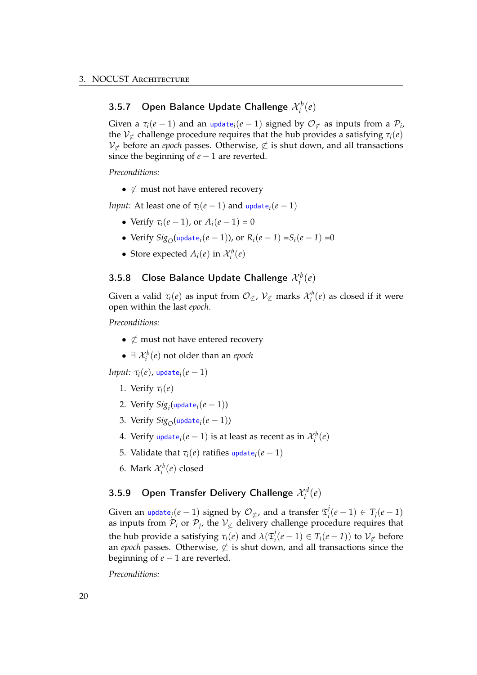## 3.5.7 Open Balance Update Challenge  $\mathcal{X}_i^b(e)$

Given a  $\tau_i(e-1)$  and an update<sub>*i*</sub>( $e-1$ ) signed by  $\mathcal{O}_{\mathcal{L}}$  as inputs from a  $\mathcal{P}_i$ , the  $V_{\not\subset}$  challenge procedure requires that the hub provides a satisfying  $\tau_i(e)$  $V_{\not\subset}$  before an *epoch* passes. Otherwise,  $\not\subset$  is shut down, and all transactions since the beginning of  $e - 1$  are reverted.

*Preconditions:*

•  $\not\subset$  must not have entered recovery

*Input:* At least one of  $\tau_i(e-1)$  and update<sub>*i*</sub>( $e-1$ )</sub>

- Verify  $\tau_i(e-1)$ , or  $A_i(e-1) = 0$
- Verify  $Sig_{\Omega}$ (update<sub>i</sub>(*e* − 1)), or  $R_i(e-1) = S_i(e-1) = 0$
- Store expected  $A_i(e)$  in  $\mathcal{X}_i^b(e)$

## 3.5.8 Close Balance Update Challenge  $\mathcal{X}_i^b(e)$

Given a valid  $\tau_i(e)$  as input from  $\mathcal{O}_{\not\subset}$ ,  $\mathcal{V}_{\not\subset}$  marks  $\mathcal{X}_i^b(e)$  as closed if it were open within the last *epoch*.

*Preconditions:*

- $\not\subset$  must not have entered recovery
- $\exists \mathcal{X}_i^b(e)$  not older than an *epoch*

*Input:*  $\tau_i(e)$ , update<sub>*i*</sub></sub> $(e-1)$ 

- 1. Verify  $\tau_i(e)$
- 2. Verify  $Sig_i(\text{update}_i(e-1))$
- 3. Verify  $Sig_O(update_i(e-1))$
- 4. Verify update<sub>*i*</sub>( $e-1$ ) is at least as recent as in  $\mathcal{X}_i^b(e)$
- 5. Validate that  $\tau_i(e)$  ratifies update<sub>*i*</sub>(*e* − 1)
- 6. Mark  $\mathcal{X}_i^b(e)$  closed

## 3.5.9 Open Transfer Delivery Challenge  $\mathcal{X}_i^d(e)$

Given an update<sub>j</sub> $(e-1)$  signed by  $\mathcal{O}_{\not\subset f}$ , and a transfer  $\mathfrak{T}_i^j(e-1) \in T_j(e-1)$ as inputs from  $\mathcal{P}_i$  or  $\mathcal{P}_j$ , the  $\mathcal{V}_{\mathcal{L}}$  delivery challenge procedure requires that the hub provide a satisfying  $\tau_i(e)$  and  $\lambda(\mathfrak{T}_i^j(e-1) \in T_i(e-1))$  to  $\mathcal{V}_{\not\subset}$  before an *epoch* passes. Otherwise,  $\not\subset$  is shut down, and all transactions since the beginning of  $e - 1$  are reverted.

*Preconditions:*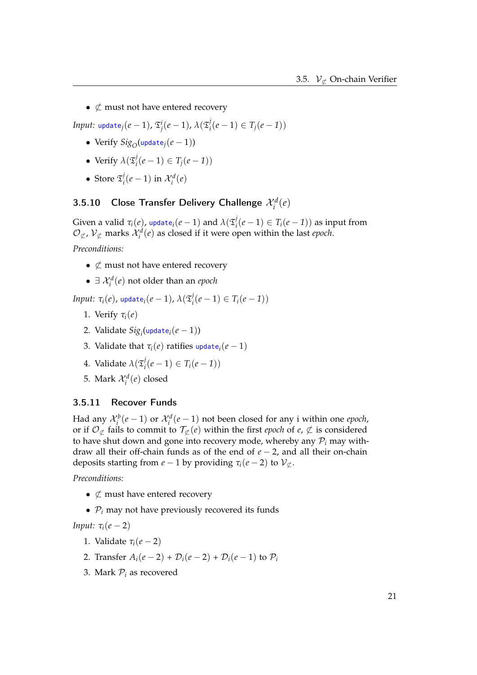•  $\not\subset$  must not have entered recovery

 $I$ *nput:* <code>update $_j(e-1)$ ,  $\mathfrak{T}^i_j(e-1)$ ,  $\lambda(\mathfrak{T}^j_i(e-1) \in T_j(e-1))$ </code>

- Verify  $Sig_O(update_i(e-1))$
- Verify  $\lambda(\mathfrak{T}_i^j(e-1) \in T_j(e-1))$
- Store  $\mathfrak{T}_i^j(e-1)$  in  $\mathcal{X}_i^d(e)$

## 3.5.10 Close Transfer Delivery Challenge  $\mathcal{X}_i^d(e)$

Given a valid  $\tau_i(e)$ , update $_i(e-1)$  and  $\lambda(\mathfrak{T}^j_i(e-1) \in T_i(e-1))$  as input from  $\mathcal{O}_{\not\subset}$ ,  $\mathcal{V}_{\not\subset}$  marks  $\mathcal{X}_i^d(e)$  as closed if it were open within the last *epoch*.

*Preconditions:*

- $\not\subset$  must not have entered recovery
- $\exists \mathcal{X}_i^d(e)$  not older than an *epoch*

*Input:*  $\tau_i(e)$ , update $_i(e-1)$ ,  $\lambda(\mathfrak{T}_i^j(e-1) \in T_i(e-1))$ 

- 1. Verify *τi*(*e*)
- 2. Validate *Sigi* (update*i*(*e* − 1))
- 3. Validate that  $\tau_i(e)$  ratifies update<sub>*i*</sub>( $e-1$ )</sub>
- 4. Validate  $\lambda(\mathfrak{T}_i^j(e-1) \in T_i(e-1))$
- 5. Mark  $\mathcal{X}_i^d(e)$  closed

#### 3.5.11 Recover Funds

Had any  $\mathcal{X}_i^b(e-1)$  or  $\mathcal{X}_i^d(e-1)$  not been closed for any i within one *epoch*, or if  $\mathcal{O}_{\mathcal{L}}$  fails to commit to  $\mathcal{T}_{\mathcal{L}}(e)$  within the first *epoch* of *e*,  $\not\subset$  is considered to have shut down and gone into recovery mode, whereby any  $P_i$  may withdraw all their off-chain funds as of the end of *e* − 2, and all their on-chain deposits starting from  $e - 1$  by providing  $\tau_i(e - 2)$  to  $\mathcal{V}_\mathcal{L}$ .

*Preconditions:*

- $\not\subset$  must have entered recovery
- $P_i$  may not have previously recovered its funds

*Input:*  $\tau_i(e-2)$ 

- 1. Validate  $\tau_i(e-2)$
- 2. Transfer  $A_i(e-2) + D_i(e-2) + D_i(e-1)$  to  $P_i$
- 3. Mark  $P_i$  as recovered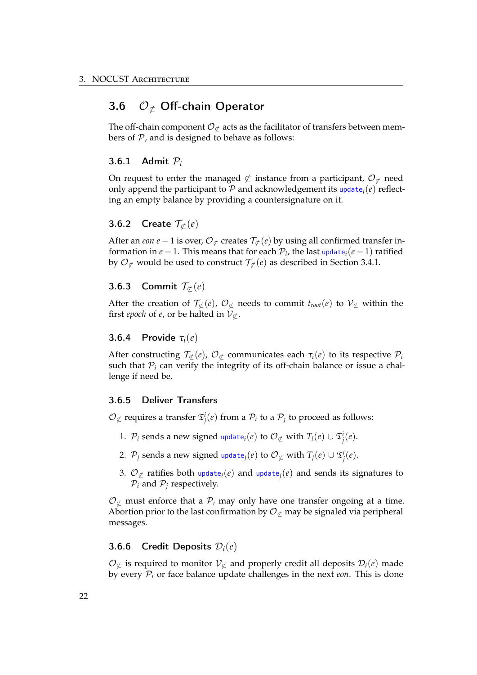### 3.6  $\mathcal{O}_{\sigma}$  Off-chain Operator

The off-chain component  $\mathcal{O}_{\mathcal{L}}$  acts as the facilitator of transfers between members of  $P$ , and is designed to behave as follows:

#### 3.6.1 Admit P*<sup>i</sup>*

On request to enter the managed  $\not\subset$  instance from a participant,  $\mathcal{O}_{\mathcal{L}}$  need only append the participant to  $P$  and acknowledgement its update<sub>i</sub>( $e$ ) reflecting an empty balance by providing a countersignature on it.

#### **3.6.2** Create  $\mathcal{T}_{\sigma}(e)$

After an *eon e* − 1 is over,  $\mathcal{O}_{\sigma}$  creates  $\mathcal{T}_{\sigma}(e)$  by using all confirmed transfer information in *e* − 1. This means that for each  $P_i$ , the last update<sub>i</sub>(*e* − 1) ratified by  $\mathcal{O}_{\mathcal{L}}$  would be used to construct  $\mathcal{T}_{\mathcal{L}}(e)$  as described in Section 3.4.1.

#### 3.6.3 Commit  $\mathcal{T}_{\sigma}(e)$

After the creation of  $\mathcal{T}_{\mathcal{L}}(e)$ ,  $\mathcal{O}_{\mathcal{L}}$  needs to commit  $t_{root}(e)$  to  $\mathcal{V}_{\mathcal{L}}$  within the first *epoch* of *e*, or be halted in  $V_{\sigma}$ .

#### 3.6.4 Provide *τi*(*e*)

After constructing  $\mathcal{T}_{\not\subset}(e)$ ,  $\mathcal{O}_{\not\subset}$  communicates each  $\tau_i(e)$  to its respective  $\mathcal{P}_i$ such that  $P_i$  can verify the integrity of its off-chain balance or issue a challenge if need be.

#### 3.6.5 Deliver Transfers

 $\mathcal{O}_{\not\subsetneq}$  requires a transfer  $\mathfrak{T}^i_j(e)$  from a  $\mathcal{P}_i$  to a  $\mathcal{P}_j$  to proceed as follows:

- 1.  $\mathcal{P}_i$  sends a new signed update $_i(e)$  to  $\mathcal{O}_{\not\subsetneq}$  with  $T_i(e) \cup \mathfrak{T}^i_j(e)$ .
- 2.  $\mathcal{P}_j$  sends a new signed update $_j(e)$  to  $\mathcal{O}_{\not\subset \mathcal{L}}$  with  $T_j(e) \cup \mathfrak{T}^i_j(e).$
- 3.  $\mathcal{O}_{\mathcal{L}}$  ratifies both update<sub>*i*</sub>(*e*) and update<sub>*j*</sub>(*e*) and sends its signatures to  $P_i$  and  $P_j$  respectively.

 $\mathcal{O}_{\sigma}$  must enforce that a  $\mathcal{P}_i$  may only have one transfer ongoing at a time. Abortion prior to the last confirmation by  $\mathcal{O}_{\mathcal{L}}$  may be signaled via peripheral messages.

#### 3.6.6 Credit Deposits D*i*(*e*)

 $\mathcal{O}_{\mathcal{L}}$  is required to monitor  $\mathcal{V}_{\mathcal{L}}$  and properly credit all deposits  $\mathcal{D}_{i}(e)$  made by every P*<sup>i</sup>* or face balance update challenges in the next *eon*. This is done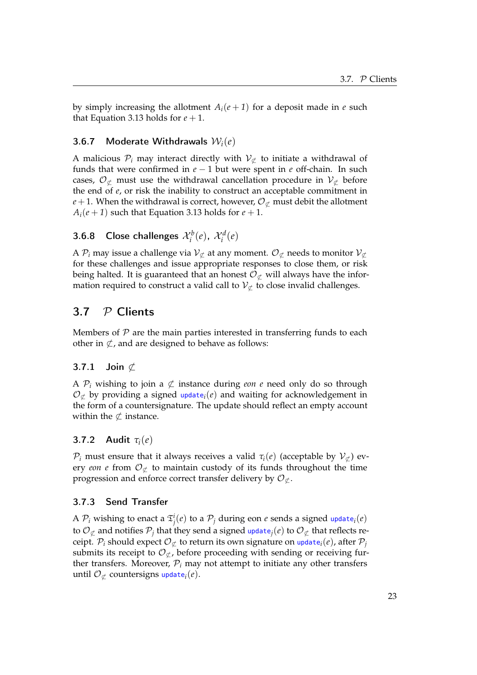by simply increasing the allotment  $A_i(e + 1)$  for a deposit made in *e* such that Equation 3.13 holds for  $e + 1$ .

#### 3.6.7 Moderate Withdrawals W*i*(*e*)

A malicious  $P_i$  may interact directly with  $V_{\sigma}$  to initiate a withdrawal of funds that were confirmed in *e* − 1 but were spent in *e* off-chain. In such cases,  $\mathcal{O}_{\sigma}$  must use the withdrawal cancellation procedure in  $\mathcal{V}_{\sigma}$  before the end of *e*, or risk the inability to construct an acceptable commitment in  $e + 1$ . When the withdrawal is correct, however,  $\mathcal{O}_{\mathcal{L}}$  must debit the allotment  $A_i(e+1)$  such that Equation 3.13 holds for  $e+1$ .

## 3.6.8 Close challenges  $\mathcal{X}_i^b(e)$ ,  $\mathcal{X}_i^d(e)$

A  $\mathcal{P}_i$  may issue a challenge via  $\mathcal{V}_{\mathcal{L}}$  at any moment.  $\mathcal{O}_{\mathcal{L}}$  needs to monitor  $\mathcal{V}_{\mathcal{L}}$ for these challenges and issue appropriate responses to close them, or risk being halted. It is guaranteed that an honest  $\mathcal{O}_{\not\subset\mathcal{C}}$  will always have the information required to construct a valid call to  $V_{\sigma}$  to close invalid challenges.

## 3.7 P Clients

Members of  $P$  are the main parties interested in transferring funds to each other in  $\subset$ , and are designed to behave as follows:

### 3.7.1 Join  $\not\subset$

A  $\mathcal{P}_i$  wishing to join a  $\not\subset$  instance during *eon e* need only do so through  $\mathcal{O}_{\not\subset}$  by providing a signed update<sub>*i*</sub>(*e*) and waiting for acknowledgement in the form of a countersignature. The update should reflect an empty account within the  $\not\subset$  instance.

#### 3.7.2 Audit *τi*(*e*)

 $\mathcal{P}_i$  must ensure that it always receives a valid  $\tau_i(e)$  (acceptable by  $\mathcal{V}_\mathcal{L}$ ) every *eon e* from  $\mathcal{O}_{\not\subset}$  to maintain custody of its funds throughout the time progression and enforce correct transfer delivery by  $\mathcal{O}_{\mathcal{L}}$ .

#### 3.7.3 Send Transfer

A  $\mathcal{P}_i$  wishing to enact a  $\mathfrak{T}^i_j(e)$  to a  $\mathcal{P}_j$  during eon  $e$  sends a signed update $_i(e)$ to  $\mathcal{O}_{\sigma}$  and notifies  $\mathcal{P}_i$  that they send a signed update<sub>*j*</sub>(*e*) to  $\mathcal{O}_{\sigma}$  that reflects receipt.  $\mathcal{P}_i$  should expect  $\mathcal{O}_{\mathcal{L}}$  to return its own signature on update<sub>*i*</sub>(*e*), after  $\mathcal{P}_j$ submits its receipt to  $\mathcal{O}_{\mathcal{L}}$ , before proceeding with sending or receiving further transfers. Moreover,  $P_i$  may not attempt to initiate any other transfers until  $\mathcal{O}_{\sigma}$  countersigns update<sub>*i*</sub>(*e*).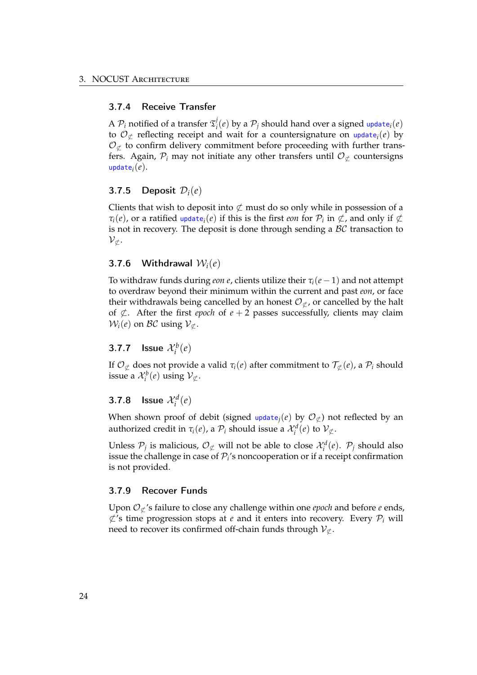### 3.7.4 Receive Transfer

A  $\mathcal{P}_i$  notified of a transfer  $\mathfrak{T}_i^j(e)$  by a  $\mathcal{P}_j$  should hand over a signed update<sub>i</sub> $(e)$ to  $\mathcal{O}_{\mathcal{L}}$  reflecting receipt and wait for a countersignature on update<sub>i</sub>(*e*) by  $\mathcal{O}_{\sigma}$  to confirm delivery commitment before proceeding with further transfers. Again,  $\mathcal{P}_i$  may not initiate any other transfers until  $\mathcal{O}_{\mathcal{L}}$  countersigns update*i*(*e*).

#### 3.7.5 Deposit D*i*(*e*)

Clients that wish to deposit into  $\not\subset$  must do so only while in possession of a  $\tau_i(e)$ , or a ratified update<sub>*i*</sub>(*e*) if this is the first *eon* for  $\mathcal{P}_i$  in  $\not\subset$ , and only if  $\not\subset$ is not in recovery. The deposit is done through sending a  $\beta\mathcal{C}$  transaction to  $\mathcal{V}_\nsubseteq$ .

#### 3.7.6 Withdrawal W*i*(*e*)

To withdraw funds during *eon e*, clients utilize their  $\tau_i(e-1)$  and not attempt to overdraw beyond their minimum within the current and past *eon*, or face their withdrawals being cancelled by an honest  $\mathcal{O}_{\sigma}$ , or cancelled by the halt of  $\not\subset$ . After the first *epoch* of *e* + 2 passes successfully, clients may claim  $W_i(e)$  on *BC* using  $V_{\subset \mathcal{L}}$ .

## 3.7.7 **Issue**  $\mathcal{X}_i^b(e)$

If  $\mathcal{O}_{\sigma}$  does not provide a valid  $\tau_i(e)$  after commitment to  $\mathcal{T}_{\sigma}(e)$ , a  $\mathcal{P}_i$  should issue a  $\mathcal{X}_i^b(e)$  using  $\mathcal{V}_\nsubseteq$ .

## **3.7.8** Issue  $\mathcal{X}_i^d(e)$

When shown proof of debit (signed update<sub>j</sub>(*e*) by  $\mathcal{O}_{\not\subset}$ ) not reflected by an authorized credit in  $\tau_i(e)$ , a  $\mathcal{P}_i$  should issue a  $\mathcal{X}_i^d(e)$  to  $\mathcal{V}_{\not\subset}$ .

Unless  $\mathcal{P}_j$  is malicious,  $\mathcal{O}_{\not\subset \mathcal{P}}$  will not be able to close  $\mathcal{X}_i^d(e)$ .  $\mathcal{P}_j$  should also issue the challenge in case of  $P_i$ 's noncooperation or if a receipt confirmation is not provided.

#### 3.7.9 Recover Funds

Upon  $\mathcal{O}_{\not\subset}$ 's failure to close any challenge within one *epoch* and before *e* ends,  $\&$ 's time progression stops at *e* and it enters into recovery. Every  $P_i$  will need to recover its confirmed off-chain funds through  $V_{\phi}$ .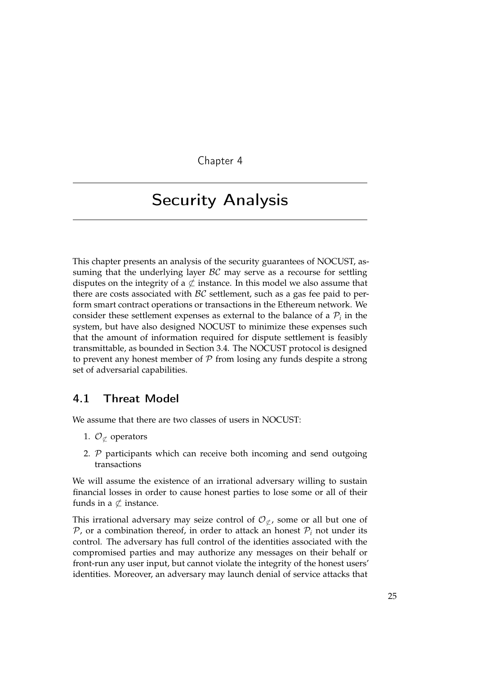Chapter 4

## Security Analysis

This chapter presents an analysis of the security guarantees of NOCUST, assuming that the underlying layer  $BC$  may serve as a recourse for settling disputes on the integrity of a  $\not\subset$  instance. In this model we also assume that there are costs associated with  $\beta \mathcal{C}$  settlement, such as a gas fee paid to perform smart contract operations or transactions in the Ethereum network. We consider these settlement expenses as external to the balance of a  $P_i$  in the system, but have also designed NOCUST to minimize these expenses such that the amount of information required for dispute settlement is feasibly transmittable, as bounded in Section 3.4. The NOCUST protocol is designed to prevent any honest member of  $P$  from losing any funds despite a strong set of adversarial capabilities.

## 4.1 Threat Model

We assume that there are two classes of users in NOCUST:

- 1.  $\mathcal{O}_{\sigma}$  operators
- 2. P participants which can receive both incoming and send outgoing transactions

We will assume the existence of an irrational adversary willing to sustain financial losses in order to cause honest parties to lose some or all of their funds in a  $\not\subset$  instance.

This irrational adversary may seize control of  $\mathcal{O}_{\not\subset}$ , some or all but one of  $P$ , or a combination thereof, in order to attack an honest  $P_i$  not under its control. The adversary has full control of the identities associated with the compromised parties and may authorize any messages on their behalf or front-run any user input, but cannot violate the integrity of the honest users' identities. Moreover, an adversary may launch denial of service attacks that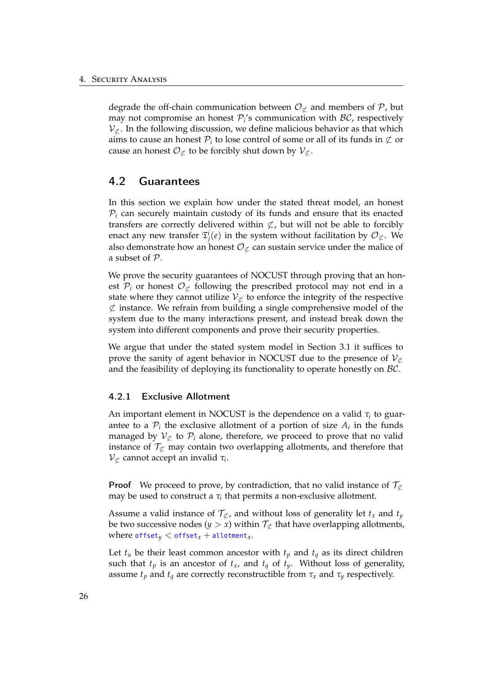degrade the off-chain communication between  $\mathcal{O}_{\mathcal{L}}$  and members of P, but may not compromise an honest  $P_i$ 's communication with  $\beta\mathcal{C}$ , respectively  $V_{\sigma}$ . In the following discussion, we define malicious behavior as that which aims to cause an honest  $P_i$  to lose control of some or all of its funds in  $\φ$  or cause an honest  $\mathcal{O}_{\not\subset}$  to be forcibly shut down by  $\mathcal{V}_{\not\subset}$ .

### 4.2 Guarantees

In this section we explain how under the stated threat model, an honest  $P_i$  can securely maintain custody of its funds and ensure that its enacted transfers are correctly delivered within  $\not\subset$ , but will not be able to forcibly enact any new transfer  $\mathfrak{T}^i_j(e)$  in the system without facilitation by  $\mathcal{O}_{\not\subset}$ . We also demonstrate how an honest  $\mathcal{O}_{\sigma}$  can sustain service under the malice of a subset of P.

We prove the security guarantees of NOCUST through proving that an honest  $\mathcal{P}_i$  or honest  $\mathcal{O}_{\sigma}$  following the prescribed protocol may not end in a state where they cannot utilize  $V_{\sigma}$  to enforce the integrity of the respective  $\not\subset$  instance. We refrain from building a single comprehensive model of the system due to the many interactions present, and instead break down the system into different components and prove their security properties.

We argue that under the stated system model in Section 3.1 it suffices to prove the sanity of agent behavior in NOCUST due to the presence of  $V_{\mathcal{C}}$ and the feasibility of deploying its functionality to operate honestly on  $\mathcal{BC}$ .

#### 4.2.1 Exclusive Allotment

An important element in NOCUST is the dependence on a valid *τ<sup>i</sup>* to guarantee to a  $P_i$  the exclusive allotment of a portion of size  $A_i$  in the funds managed by  $V_{\text{C}}$  to  $\mathcal{P}_i$  alone, therefore, we proceed to prove that no valid instance of  $\mathcal{T}_{\mathcal{L}}$  may contain two overlapping allotments, and therefore that  $V_{\nsubseteq}$  cannot accept an invalid  $τ_i$ .

**Proof** We proceed to prove, by contradiction, that no valid instance of  $\mathcal{T}_{\sigma}$ may be used to construct a  $\tau$ <sup>*i*</sup> that permits a non-exclusive allotment.

Assume a valid instance of  $\mathcal{T}_{\sigma}$ , and without loss of generality let  $t_x$  and  $t_y$ be two successive nodes ( $y > x$ ) within  $\mathcal{T}_{\mathcal{L}}$  that have overlapping allotments, where  $offset_y <$  offset<sub>x</sub> + allotment<sub>x</sub>.

Let  $t_u$  be their least common ancestor with  $t_p$  and  $t_q$  as its direct children such that  $t_p$  is an ancestor of  $t_x$ , and  $t_q$  of  $t_y$ . Without loss of generality, assume  $t_p$  and  $t_q$  are correctly reconstructible from  $\tau_x$  and  $\tau_y$  respectively.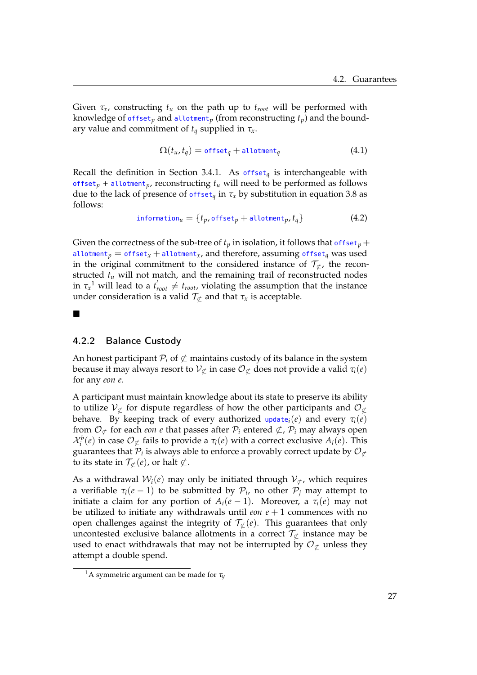Given  $\tau_x$ , constructing  $t_u$  on the path up to  $t_{root}$  will be performed with knowledge of  $offset<sub>p</sub>$  and allotment<sub>p</sub> (from reconstructing  $t<sub>p</sub>$ ) and the boundary value and commitment of  $t_q$  supplied in  $\tau_x$ .

$$
\Omega(t_u, t_q) = \text{offset}_q + \text{allotment}_q \tag{4.1}
$$

Recall the definition in Section 3.4.1. As offset<sub>*a*</sub> is interchangeable with offset<sub>p</sub> + allotment<sub>p</sub>, reconstructing  $t_u$  will need to be performed as follows due to the lack of presence of  $offset_q$  in  $\tau_x$  by substitution in equation 3.8 as follows:

$$
information_u = \{t_p, \text{offset}_p + \text{allotment}_p, t_q\} \tag{4.2}
$$

Given the correctness of the sub-tree of  $t_p$  in isolation, it follows that offset<sub>p</sub> + allotment<sub>p</sub> = offset<sub>x</sub> + allotment<sub>x</sub>, and therefore, assuming offset<sub>q</sub> was used in the original commitment to the considered instance of  $\mathcal{T}_{\mathcal{L}}$ , the reconstructed *tu* will not match, and the remaining trail of reconstructed nodes in  $\tau_x^1$  will lead to a  $t'_{root} \neq t_{root}$ , violating the assumption that the instance under consideration is a valid  $\mathcal{T}_{\mathcal{L}}$  and that  $\tau_x$  is acceptable.

### 4.2.2 Balance Custody

�

An honest participant  $\mathcal{P}_i$  of  $\not\subset$  maintains custody of its balance in the system because it may always resort to  $V_{\mathcal{L}}$  in case  $\mathcal{O}_{\mathcal{L}}$  does not provide a valid  $\tau_i(e)$ for any *eon e*.

A participant must maintain knowledge about its state to preserve its ability to utilize  $V_{\sigma}$  for dispute regardless of how the other participants and  $\mathcal{O}_{\mathcal{L}}$ behave. By keeping track of every authorized update<sub>*i*</sub>(*e*) and every  $\tau_i(e)$ from  $\mathcal{O}_{\mathcal{L}}$  for each *eon e* that passes after  $\mathcal{P}_i$  entered  $\mathcal{L}$ ,  $\mathcal{P}_i$  may always open  $\mathcal{X}_i^b(e)$  in case  $\mathcal{O}_{\not\subset}$  fails to provide a  $\tau_i(e)$  with a correct exclusive  $A_i(e)$ . This guarantees that  $\mathcal{P}_i$  is always able to enforce a provably correct update by  $\mathcal{O}_{\mathcal{L}}$ to its state in  $\mathcal{T}_{\sigma}(e)$ , or halt  $\not\subset$ .

As a withdrawal  $W_i(e)$  may only be initiated through  $V_{\sigma}$ , which requires a verifiable  $\tau_i(e-1)$  to be submitted by  $\mathcal{P}_i$ , no other  $\mathcal{P}_j$  may attempt to initiate a claim for any portion of  $A_i(e-1)$ . Moreover, a  $\tau_i(e)$  may not be utilized to initiate any withdrawals until  $e$ *on*  $e + 1$  commences with no open challenges against the integrity of  $\mathcal{T}_{\phi}(e)$ . This guarantees that only uncontested exclusive balance allotments in a correct  $\mathcal{T}_{\not\subset \mathcal{L}}$  instance may be used to enact withdrawals that may not be interrupted by  $\mathcal{O}_{\not\subset\mathcal{L}}$  unless they attempt a double spend.

<sup>&</sup>lt;sup>1</sup>A symmetric argument can be made for  $\tau_y$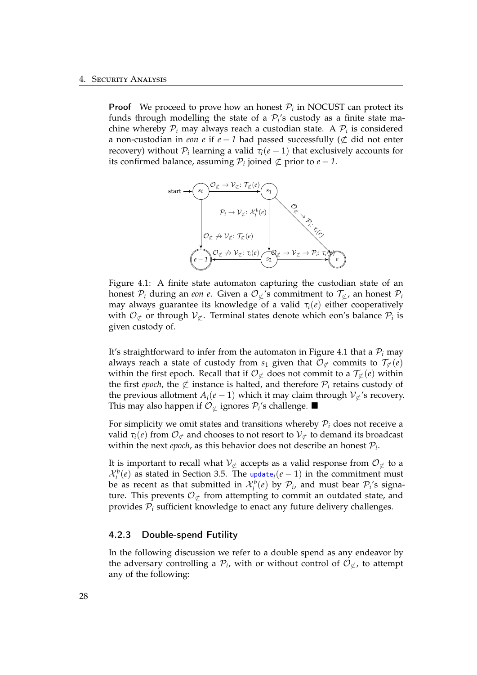**Proof** We proceed to prove how an honest  $P_i$  in NOCUST can protect its funds through modelling the state of a  $P_i$ 's custody as a finite state machine whereby  $P_i$  may always reach a custodian state. A  $P_i$  is considered a non-custodian in *eon e* if *e* − *1* had passed successfully (�⊂ did not enter recovery) without  $P_i$  learning a valid  $\tau_i(e-1)$  that exclusively accounts for its confirmed balance, assuming  $P_i$  joined  $\nsubseteq$  prior to *e* − 1.



Figure 4.1: A finite state automaton capturing the custodian state of an honest  $P_i$  during an *eon e*. Given a  $O_{\mathcal{L}}$ 's commitment to  $\mathcal{T}_{\mathcal{L}}$ , an honest  $P_i$ may always guarantee its knowledge of a valid  $\tau_i(e)$  either cooperatively with  $\mathcal{O}_{\not\subset}$  or through  $\mathcal{V}_{\not\subset}$ . Terminal states denote which eon's balance  $\mathcal{P}_i$  is given custody of.

It's straightforward to infer from the automaton in Figure 4.1 that a  $P_i$  may always reach a state of custody from  $s_1$  given that  $\mathcal{O}_{\mathcal{L}}$  commits to  $\mathcal{T}_{\mathcal{L}}(e)$ within the first epoch. Recall that if  $\mathcal{O}_{\mathcal{L}}$  does not commit to a  $\mathcal{T}_{\mathcal{L}}(e)$  within the first *epoch*, the  $\not\subset$  instance is halted, and therefore  $\mathcal{P}_i$  retains custody of the previous allotment  $A_i(e-1)$  which it may claim through  $V_{\nsubseteq}$ 's recovery. This may also happen if  $O$ <sub>⊄</sub> ignores  $P$ <sup>*i*</sup>s challenge. ■

For simplicity we omit states and transitions whereby  $P_i$  does not receive a valid  $\tau_i(e)$  from  $\mathcal{O}_{\sigma}$  and chooses to not resort to  $\mathcal{V}_{\sigma}$  to demand its broadcast within the next *epoch*, as this behavior does not describe an honest  $P_i$ .

It is important to recall what  $V_{\mathcal{L}}$  accepts as a valid response from  $\mathcal{O}_{\mathcal{L}}$  to a  $\mathcal{X}_i^b(e)$  as stated in Section 3.5. The update<sub>*i*</sub>(*e* − 1) in the commitment must be as recent as that submitted in  $\mathcal{X}_i^b(e)$  by  $\mathcal{P}_i$ , and must bear  $\mathcal{P}_i$ 's signature. This prevents  $\mathcal{O}_{\sigma}$  from attempting to commit an outdated state, and provides P*<sup>i</sup>* sufficient knowledge to enact any future delivery challenges.

#### 4.2.3 Double-spend Futility

In the following discussion we refer to a double spend as any endeavor by the adversary controlling a  $\mathcal{P}_i$ , with or without control of  $\mathcal{O}_{\mathcal{L}}$ , to attempt any of the following: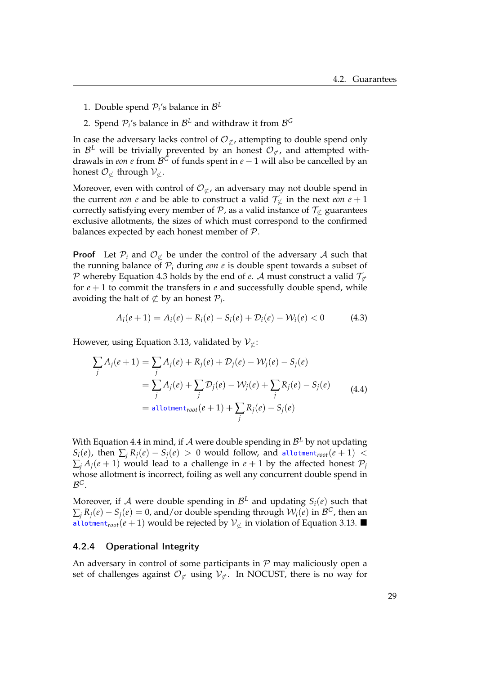- 1. Double spend  $P_i$ 's balance in  $\mathcal{B}^L$
- 2. Spend  $P_i$ 's balance in  $B^L$  and withdraw it from  $B^G$

In case the adversary lacks control of  $\mathcal{O}_{\mathcal{L}}$ , attempting to double spend only in  $\mathcal{B}^L$  will be trivially prevented by an honest  $\mathcal{O}_{\not\subset \mathcal{F}}$ , and attempted withdrawals in *eon e* from  $\mathcal{B}^G$  of funds spent in *e* − 1 will also be cancelled by an honest  $\mathcal{O}_{\sigma}$  through  $\mathcal{V}_{\sigma}$ .

Moreover, even with control of  $\mathcal{O}_{\sigma}$ , an adversary may not double spend in the current *eon e* and be able to construct a valid  $\mathcal{T}_{\sigma}$  in the next *eon*  $e + 1$ correctly satisfying every member of  $\mathcal P$ , as a valid instance of  $\mathcal T_{\mathcal L}$  guarantees exclusive allotments, the sizes of which must correspond to the confirmed balances expected by each honest member of  $P$ .

**Proof** Let  $\mathcal{P}_i$  and  $\mathcal{O}_{\sigma}$  be under the control of the adversary A such that the running balance of  $P_i$  during *eon e* is double spent towards a subset of P whereby Equation 4.3 holds by the end of *e*. A must construct a valid  $\mathcal{T}_{\sigma}$ for  $e + 1$  to commit the transfers in  $e$  and successfully double spend, while avoiding the halt of  $\not\subset$  by an honest  $\mathcal{P}_i$ .

$$
A_i(e+1) = A_i(e) + R_i(e) - S_i(e) + \mathcal{D}_i(e) - \mathcal{W}_i(e) < 0 \tag{4.3}
$$

However, using Equation 3.13, validated by  $\mathcal{V}_{\sigma}$ :

$$
\sum_{j} A_{j}(e+1) = \sum_{j} A_{j}(e) + R_{j}(e) + \mathcal{D}_{j}(e) - \mathcal{W}_{j}(e) - S_{j}(e)
$$
  
= 
$$
\sum_{j} A_{j}(e) + \sum_{j} \mathcal{D}_{j}(e) - \mathcal{W}_{j}(e) + \sum_{j} R_{j}(e) - S_{j}(e)
$$
  
= 
$$
\text{allotment}_{root}(e+1) + \sum_{j} R_{j}(e) - S_{j}(e)
$$
 (4.4)

With Equation 4.4 in mind, if  $A$  were double spending in  $B<sup>L</sup>$  by not updating  $S_i(e)$ , then  $\sum_i R_i(e) - S_i(e) > 0$  would follow, and allotment<sub>root</sub> $(e + 1) <$  $\sum_i A_i(e+1)$  would lead to a challenge in  $e+1$  by the affected honest  $P_i$ whose allotment is incorrect, foiling as well any concurrent double spend in <sup>B</sup>*G*.

Moreover, if A were double spending in  $\mathcal{B}^L$  and updating  $S_i(e)$  such that  $\sum_{i} R_{i}(e) - S_{i}(e) = 0$ , and/or double spending through  $W_{i}(e)$  in  $\mathcal{B}^{G}$ , then an allotment<sub>root</sub>( $e + 1$ ) would be rejected by  $V_{\sigma}$  in violation of Equation 3.13. ■

#### 4.2.4 Operational Integrity

An adversary in control of some participants in  $P$  may maliciously open a set of challenges against  $\mathcal{O}_{\mathcal{L}}$  using  $\mathcal{V}_{\mathcal{L}}$ . In NOCUST, there is no way for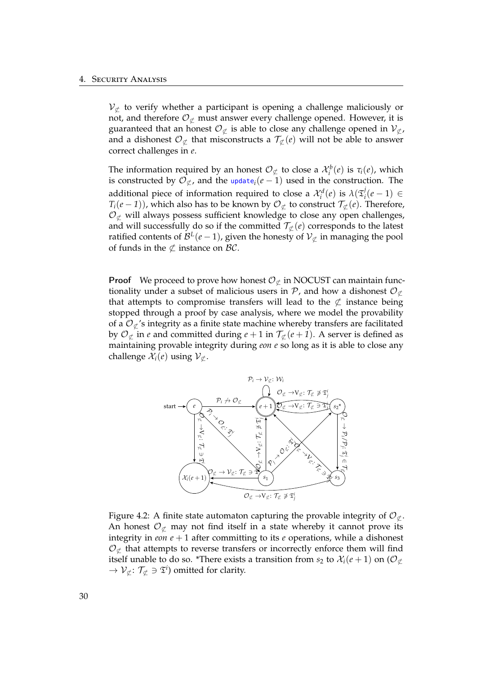$\mathcal{V}_{\sigma}$  to verify whether a participant is opening a challenge maliciously or not, and therefore  $\mathcal{O}_{\sigma}$  must answer every challenge opened. However, it is guaranteed that an honest  $\mathcal{O}_{\mathcal{L}}$  is able to close any challenge opened in  $\mathcal{V}_{\mathcal{L}}$ , and a dishonest  $\mathcal{O}_{\not\subset}$  that misconstructs a  $\mathcal{T}_{\not\subset}(e)$  will not be able to answer correct challenges in *e*.

The information required by an honest  $\mathcal{O}_{\mathcal{L}}$  to close a  $\mathcal{X}_i^b(e)$  is  $\tau_i(e)$ , which is constructed by  $\mathcal{O}_{\sigma}$ , and the update<sub>*i*</sub>( $e - 1$ ) used in the construction. The additional piece of information required to close a  $\mathcal{X}_i^d(e)$  is  $\lambda(\mathfrak{T}_i^j(e-1)) \in$  $T_i(e-1)$ ), which also has to be known by  $\mathcal{O}_{\not\subset}$  to construct  $\mathcal{T}_{\not\subset}(e)$ . Therefore,  $\mathcal{O}_{\not\subset}$  will always possess sufficient knowledge to close any open challenges, and will successfully do so if the committed  $\mathcal{T}_{\mathcal{L}}(e)$  corresponds to the latest ratified contents of  $\mathcal{B}^L(e-1)$ , given the honesty of  $\mathcal{V}_{\mathcal{L}}$  in managing the pool of funds in the  $\not\subset$  instance on  $\mathcal{BC}$ .

**Proof** We proceed to prove how honest  $\mathcal{O}_{\mathcal{L}}$  in NOCUST can maintain functionality under a subset of malicious users in  $\mathcal{P}$ , and how a dishonest  $\mathcal{O}_{\mathcal{C}}$ that attempts to compromise transfers will lead to the  $\not\subset$  instance being stopped through a proof by case analysis, where we model the provability of a  $\mathcal{O}_{\mathcal{L}}$ 's integrity as a finite state machine whereby transfers are facilitated by  $\mathcal{O}_{\mathcal{L}}$  in *e* and committed during  $e + 1$  in  $\mathcal{T}_{\mathcal{L}}(e + 1)$ . A server is defined as maintaining provable integrity during *eon e* so long as it is able to close any challenge  $\mathcal{X}_i(e)$  using  $\mathcal{V}_{\sigma}$ .



Figure 4.2: A finite state automaton capturing the provable integrity of  $\mathcal{O}_{\sigma}$ . An honest  $\mathcal{O}_{\mathcal{L}}$  may not find itself in a state whereby it cannot prove its integrity in *eon e* + 1 after committing to its *e* operations, while a dishonest  $\mathcal{O}_{\sigma}$  that attempts to reverse transfers or incorrectly enforce them will find itself unable to do so. \*There exists a transition from  $s_2$  to  $\mathcal{X}_i(e+1)$  on  $(\mathcal{O}_{\sigma})$  $\rightarrow$   $\mathcal{V}_{\not\subset}$ :  $\mathcal{T}_{\not\subset} \ni \mathfrak{T}^i$ ) omitted for clarity.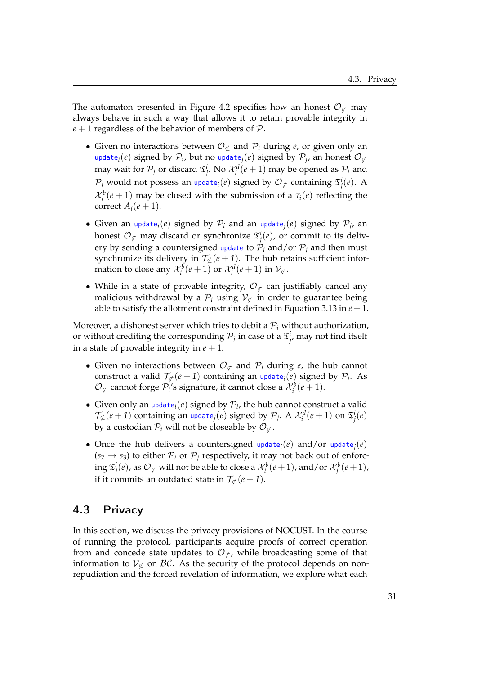The automaton presented in Figure 4.2 specifies how an honest  $\mathcal{O}_{\mathcal{L}}$  may always behave in such a way that allows it to retain provable integrity in  $e + 1$  regardless of the behavior of members of  $P$ .

- Given no interactions between  $\mathcal{O}_{\mathcal{L}}$  and  $\mathcal{P}_i$  during *e*, or given only an update<sub>*i*</sub>(*e*) signed by  $\mathcal{P}_i$ , but no update<sub>*j*</sub>(*e*) signed by  $\mathcal{P}_i$ , an honest  $\mathcal{O}_{\mathcal{L}}$ may wait for  $\mathcal{P}_j$  or discard  $\mathfrak{T}^i_j$ . No  $\mathcal{X}^d_i(e+1)$  may be opened as  $\mathcal{P}_i$  and  $\mathcal{P}_j$  would not possess an update $_i(e)$  signed by  $\mathcal{O}_{\not\subset}$  containing  $\mathfrak{T}^i_j(e).$  A  $\mathcal{X}_i^b$  (*e* + 1) may be closed with the submission of a  $\tau_i$  (*e*) reflecting the correct  $A_i(e+1)$ .
- Given an update<sub>*i*</sub>(*e*) signed by  $P_i$  and an update<sub>*j*</sub>(*e*) signed by  $P_j$ , an honest  $\mathcal{O}_{\not\subsetneq}$  may discard or synchronize  $\mathfrak{T}^i_j(e)$ , or commit to its delivery by sending a countersigned update to  $\hat{\mathcal{P}}_i$  and/or  $\mathcal{P}_j$  and then must synchronize its delivery in  $\mathcal{T}_{\mathcal{L}}(e+1)$ . The hub retains sufficient information to close any  $\mathcal{X}_i^b(e+1)$  or  $\mathcal{X}_i^d(e+1)$  in  $\mathcal{V}_{\not\subset}$ .
- While in a state of provable integrity,  $\mathcal{O}_{\mathcal{L}}$  can justifiably cancel any malicious withdrawal by a  $\mathcal{P}_i$  using  $\mathcal{V}_{\mathcal{I}}$  in order to guarantee being able to satisfy the allotment constraint defined in Equation 3.13 in  $e + 1$ .

Moreover, a dishonest server which tries to debit a  $P_i$  without authorization, or without crediting the corresponding  $\mathcal{P}_j$  in case of a  $\mathfrak{T}^i_j$ , may not find itself in a state of provable integrity in  $e + 1$ .

- Given no interactions between  $\mathcal{O}_{\sigma}$  and  $\mathcal{P}_i$  during *e*, the hub cannot construct a valid  $\mathcal{T}_{\mathcal{L}}(e+1)$  containing an update<sub>*i*</sub>(*e*) signed by  $\mathcal{P}_i$ . As  $\mathcal{O}_{\not\subset}$  cannot forge  $\mathcal{P}_i$ 's signature, it cannot close a  $\mathcal{X}_i^b(e+1)$ .
- Given only an  $update_i(e)$  signed by  $P_i$ , the hub cannot construct a valid  $\mathcal{T}_\not\subset (e+1)$  containing an update $_j(e)$  signed by  $\mathcal{P}_j$ . A  $\mathcal{X}_i^d(e+1)$  on  $\mathfrak{T}_j^i(e)$ by a custodian  $P_i$  will not be closeable by  $\mathcal{O}_{\sigma}$ .
- Once the hub delivers a countersigned update<sub>*i*</sub>(*e*) and/or update<sub>*i*</sub>(*e*)  $(s_2 \rightarrow s_3)$  to either  $P_i$  or  $P_j$  respectively, it may not back out of enforc- $\log \mathfrak{T}^i_j(e)$ , as  $\mathcal{O}_{\not\subsetneq}$  will not be able to close a  $\mathcal{X}^b_i(e+1)$ , and/or  $\mathcal{X}^b_j(e+1)$ , if it commits an outdated state in  $\mathcal{T}_{\mathcal{L}}(e+1)$ .

## 4.3 Privacy

In this section, we discuss the privacy provisions of NOCUST. In the course of running the protocol, participants acquire proofs of correct operation from and concede state updates to  $\mathcal{O}_{\mathcal{L}}$ , while broadcasting some of that information to  $V_{\sigma}$  on  $\beta \mathcal{C}$ . As the security of the protocol depends on nonrepudiation and the forced revelation of information, we explore what each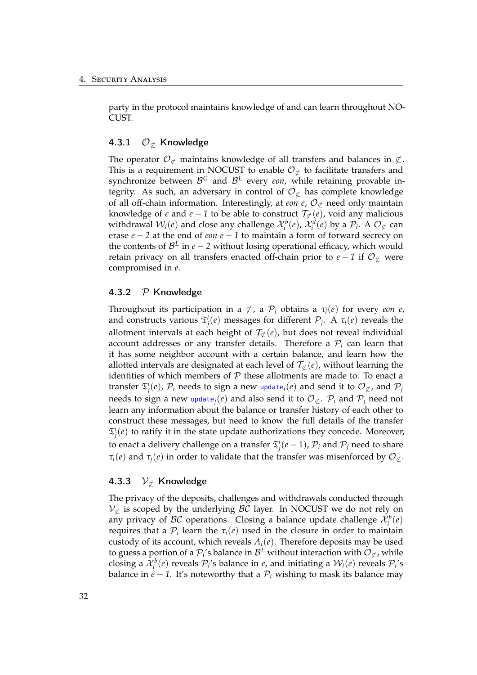party in the protocol maintains knowledge of and can learn throughout NO-CUST.

#### 4.3.1  $\mathcal{O}_{\sigma}$  Knowledge

The operator  $\mathcal{O}_{\mathcal{L}}$  maintains knowledge of all transfers and balances in  $\mathcal{L}$ . This is a requirement in NOCUST to enable  $\mathcal{O}_{\sigma}$  to facilitate transfers and synchronize between <sup>B</sup>*<sup>G</sup>* and <sup>B</sup>*<sup>L</sup>* every *eon*, while retaining provable integrity. As such, an adversary in control of  $\mathcal{O}_{\sigma}$  has complete knowledge of all off-chain information. Interestingly, at *eon e*,  $\mathcal{O}_{\mathcal{L}}$  need only maintain knowledge of *e* and  $e - 1$  to be able to construct  $\mathcal{T}_{\mathcal{L}}(e)$ , void any malicious withdrawal  $W_i(e)$  and close any challenge  $\mathcal{X}_i^b(e)$ ,  $\mathcal{X}_i^d(e)$  by a  $\mathcal{P}_i$ . A  $\mathcal{O}_{\not\subset}$  can erase *e* − *2* at the end of *eon e* − *1* to maintain a form of forward secrecy on the contents of  $\mathcal{B}^L$  in *e* − 2 without losing operational efficacy, which would retain privacy on all transfers enacted off-chain prior to  $e - 1$  if  $\mathcal{O}_{\mathcal{L}}$  were compromised in *e*.

#### 4.3.2  $P$  Knowledge

Throughout its participation in a  $\notsubset$ , a  $\mathcal{P}_i$  obtains a  $\tau_i(e)$  for every *eon e*, and constructs various  $\mathfrak{T}_j^i(e)$  messages for different  $\mathcal{P}_j$ . A  $\tau_i(e)$  reveals the allotment intervals at each height of  $\mathcal{T}_{\sigma}(e)$ , but does not reveal individual account addresses or any transfer details. Therefore a  $P_i$  can learn that it has some neighbor account with a certain balance, and learn how the allotted intervals are designated at each level of  $\mathcal{T}_{\sigma}(e)$ , without learning the identities of which members of  $P$  these allotments are made to. To enact a transfer  $\mathfrak{T}^i_j(e)$ ,  $\mathcal{P}_i$  needs to sign a new update $_i(e)$  and send it to  $\mathcal{O}_{\not\subset f}$ , and  $\mathcal{P}_j$ needs to sign a new update<sub>*j*</sub>(*e*) and also send it to  $\mathcal{O}_{\mathcal{L}}$ .  $\mathcal{P}_i$  and  $\mathcal{P}_j$  need not learn any information about the balance or transfer history of each other to construct these messages, but need to know the full details of the transfer  $\mathfrak{T}^i_j(e)$  to ratify it in the state update authorizations they concede. Moreover, to enact a delivery challenge on a transfer  $\mathfrak{T}^i_j(e-1)$ ,  $\mathcal{P}_i$  and  $\mathcal{P}_j$  need to share *τ*<sub>*i*</sub>(*e*) and *τ*<sub>*j*</sub>(*e*) in order to validate that the transfer was misenforced by  $O_{\sigma}$ .

#### 4.3.3  $\mathcal{V}_{\sigma}$  Knowledge

The privacy of the deposits, challenges and withdrawals conducted through  $V_{\subset}$  is scoped by the underlying  $\beta C$  layer. In NOCUST we do not rely on any privacy of  $BC$  operations. Closing a balance update challenge  $\mathcal{X}_i^b(e)$ requires that a  $P_i$  learn the  $\tau_i(e)$  used in the closure in order to maintain custody of its account, which reveals  $A_i(e)$ . Therefore deposits may be used to guess a portion of a  $\mathcal{P}_i$ 's balance in  $\mathcal{B}^L$  without interaction with  $\mathcal{O}_{\mathcal{L}}$ , while closing a  $\mathcal{X}_i^b(e)$  reveals  $\mathcal{P}_i$ 's balance in *e*, and initiating a  $\mathcal{W}_i(e)$  reveals  $\mathcal{P}_i$ 's balance in  $e - 1$ . It's noteworthy that a  $P_i$  wishing to mask its balance may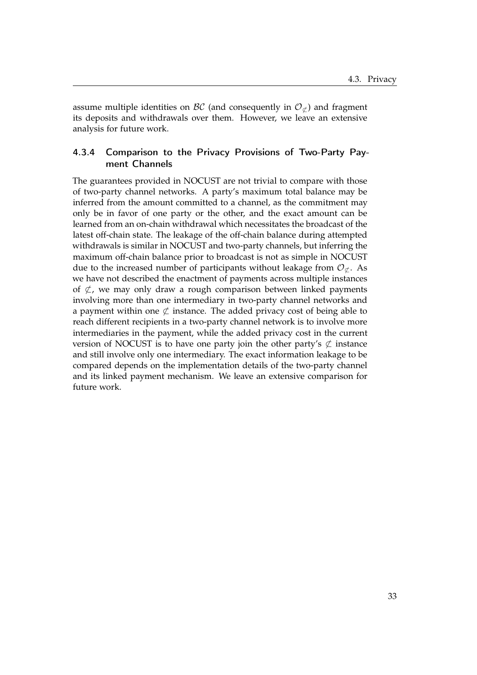assume multiple identities on  $\mathcal{BC}$  (and consequently in  $\mathcal{O}_{\sigma}$ ) and fragment its deposits and withdrawals over them. However, we leave an extensive analysis for future work.

### 4.3.4 Comparison to the Privacy Provisions of Two-Party Payment Channels

The guarantees provided in NOCUST are not trivial to compare with those of two-party channel networks. A party's maximum total balance may be inferred from the amount committed to a channel, as the commitment may only be in favor of one party or the other, and the exact amount can be learned from an on-chain withdrawal which necessitates the broadcast of the latest off-chain state. The leakage of the off-chain balance during attempted withdrawals is similar in NOCUST and two-party channels, but inferring the maximum off-chain balance prior to broadcast is not as simple in NOCUST due to the increased number of participants without leakage from  $\mathcal{O}_{\sigma}$ . As we have not described the enactment of payments across multiple instances of  $\&$ , we may only draw a rough comparison between linked payments involving more than one intermediary in two-party channel networks and a payment within one  $\not\subset$  instance. The added privacy cost of being able to reach different recipients in a two-party channel network is to involve more intermediaries in the payment, while the added privacy cost in the current version of NOCUST is to have one party join the other party's  $\not\subset$  instance and still involve only one intermediary. The exact information leakage to be compared depends on the implementation details of the two-party channel and its linked payment mechanism. We leave an extensive comparison for future work.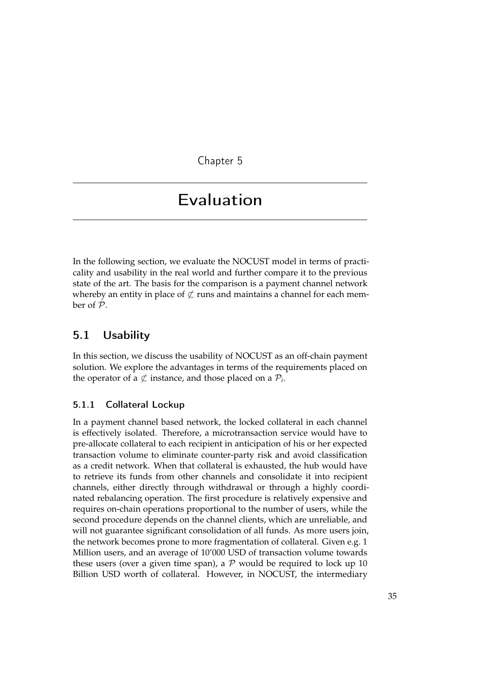Chapter 5

## Evaluation

In the following section, we evaluate the NOCUST model in terms of practicality and usability in the real world and further compare it to the previous state of the art. The basis for the comparison is a payment channel network whereby an entity in place of  $\not\subset$  runs and maintains a channel for each member of P.

## 5.1 Usability

In this section, we discuss the usability of NOCUST as an off-chain payment solution. We explore the advantages in terms of the requirements placed on the operator of a  $\not\subset$  instance, and those placed on a  $\mathcal{P}_i$ .

#### 5.1.1 Collateral Lockup

In a payment channel based network, the locked collateral in each channel is effectively isolated. Therefore, a microtransaction service would have to pre-allocate collateral to each recipient in anticipation of his or her expected transaction volume to eliminate counter-party risk and avoid classification as a credit network. When that collateral is exhausted, the hub would have to retrieve its funds from other channels and consolidate it into recipient channels, either directly through withdrawal or through a highly coordinated rebalancing operation. The first procedure is relatively expensive and requires on-chain operations proportional to the number of users, while the second procedure depends on the channel clients, which are unreliable, and will not guarantee significant consolidation of all funds. As more users join, the network becomes prone to more fragmentation of collateral. Given e.g. 1 Million users, and an average of 10'000 USD of transaction volume towards these users (over a given time span), a  $P$  would be required to lock up 10 Billion USD worth of collateral. However, in NOCUST, the intermediary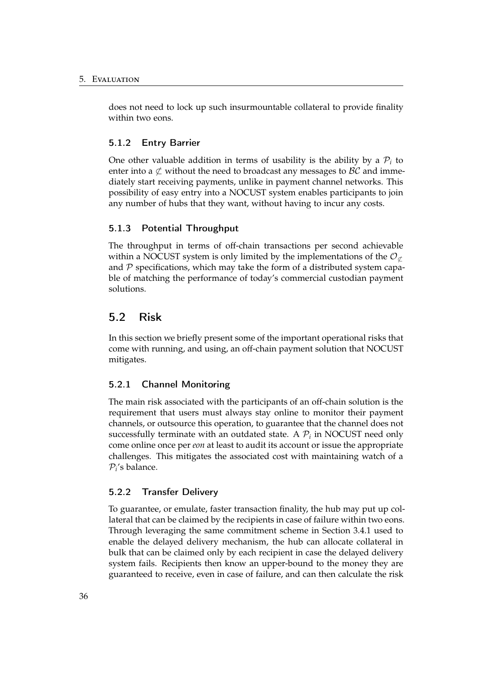does not need to lock up such insurmountable collateral to provide finality within two eons.

#### 5.1.2 Entry Barrier

One other valuable addition in terms of usability is the ability by a  $P_i$  to enter into a  $\&$  without the need to broadcast any messages to  $\mathcal{BC}$  and immediately start receiving payments, unlike in payment channel networks. This possibility of easy entry into a NOCUST system enables participants to join any number of hubs that they want, without having to incur any costs.

#### 5.1.3 Potential Throughput

The throughput in terms of off-chain transactions per second achievable within a NOCUST system is only limited by the implementations of the  $\mathcal{O}_{\sigma}$ and  $P$  specifications, which may take the form of a distributed system capable of matching the performance of today's commercial custodian payment solutions.

### 5.2 Risk

In this section we briefly present some of the important operational risks that come with running, and using, an off-chain payment solution that NOCUST mitigates.

#### 5.2.1 Channel Monitoring

The main risk associated with the participants of an off-chain solution is the requirement that users must always stay online to monitor their payment channels, or outsource this operation, to guarantee that the channel does not successfully terminate with an outdated state. A  $P_i$  in NOCUST need only come online once per *eon* at least to audit its account or issue the appropriate challenges. This mitigates the associated cost with maintaining watch of a  $P_i$ 's balance.

#### 5.2.2 Transfer Delivery

To guarantee, or emulate, faster transaction finality, the hub may put up collateral that can be claimed by the recipients in case of failure within two eons. Through leveraging the same commitment scheme in Section 3.4.1 used to enable the delayed delivery mechanism, the hub can allocate collateral in bulk that can be claimed only by each recipient in case the delayed delivery system fails. Recipients then know an upper-bound to the money they are guaranteed to receive, even in case of failure, and can then calculate the risk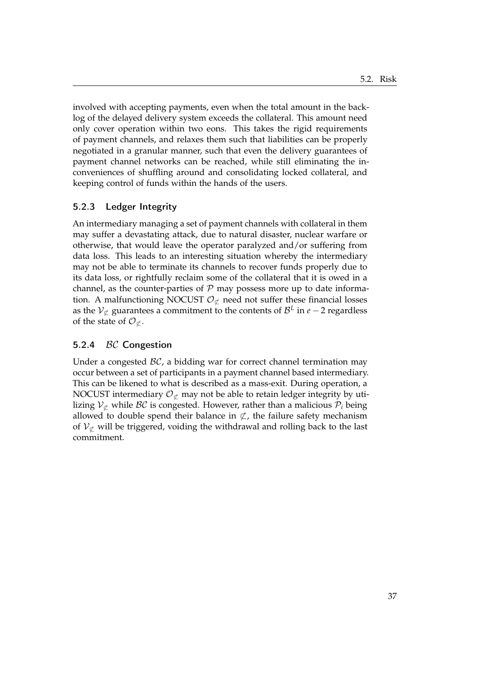involved with accepting payments, even when the total amount in the backlog of the delayed delivery system exceeds the collateral. This amount need only cover operation within two eons. This takes the rigid requirements of payment channels, and relaxes them such that liabilities can be properly negotiated in a granular manner, such that even the delivery guarantees of payment channel networks can be reached, while still eliminating the inconveniences of shuffling around and consolidating locked collateral, and keeping control of funds within the hands of the users.

### 5.2.3 Ledger Integrity

An intermediary managing a set of payment channels with collateral in them may suffer a devastating attack, due to natural disaster, nuclear warfare or otherwise, that would leave the operator paralyzed and/or suffering from data loss. This leads to an interesting situation whereby the intermediary may not be able to terminate its channels to recover funds properly due to its data loss, or rightfully reclaim some of the collateral that it is owed in a channel, as the counter-parties of  $P$  may possess more up to date information. A malfunctioning NOCUST  $\mathcal{O}_{\mathcal{L}}$  need not suffer these financial losses as the  $V_{\nsubseteq}$  guarantees a commitment to the contents of  $\mathcal{B}^L$  in *e* − 2 regardless of the state of  $\mathcal{O}_{\sigma}$ .

#### 5.2.4 BC Congestion

Under a congested  $BC$ , a bidding war for correct channel termination may occur between a set of participants in a payment channel based intermediary. This can be likened to what is described as a mass-exit. During operation, a NOCUST intermediary  $\mathcal{O}_{\sigma}$  may not be able to retain ledger integrity by utilizing  $V^{\perp}_{\sigma}$  while BC is congested. However, rather than a malicious  $P_i$  being allowed to double spend their balance in  $\not\subset$ , the failure safety mechanism of  $V_{\not\subset}$  will be triggered, voiding the withdrawal and rolling back to the last commitment.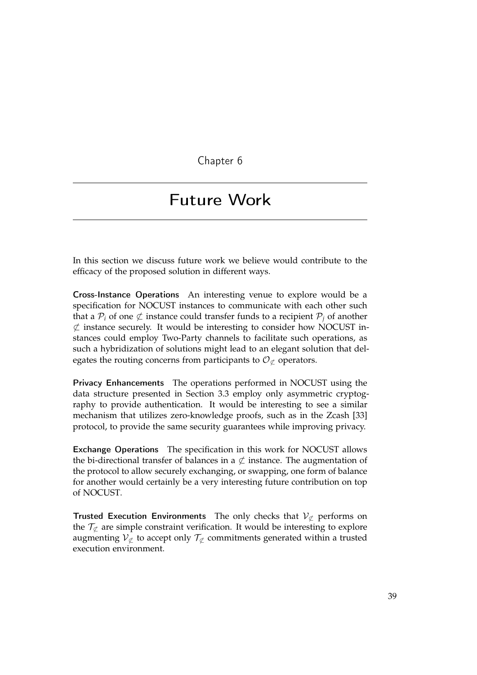Chapter 6

## Future Work

In this section we discuss future work we believe would contribute to the efficacy of the proposed solution in different ways.

Cross-Instance Operations An interesting venue to explore would be a specification for NOCUST instances to communicate with each other such that a  $P_i$  of one  $\not\subset$  instance could transfer funds to a recipient  $P_j$  of another  $\not\subset$  instance securely. It would be interesting to consider how NOCUST instances could employ Two-Party channels to facilitate such operations, as such a hybridization of solutions might lead to an elegant solution that delegates the routing concerns from participants to  $\mathcal{O}_{\not\subset}$  operators.

Privacy Enhancements The operations performed in NOCUST using the data structure presented in Section 3.3 employ only asymmetric cryptography to provide authentication. It would be interesting to see a similar mechanism that utilizes zero-knowledge proofs, such as in the Zcash [33] protocol, to provide the same security guarantees while improving privacy.

Exchange Operations The specification in this work for NOCUST allows the bi-directional transfer of balances in a  $\not\subset$  instance. The augmentation of the protocol to allow securely exchanging, or swapping, one form of balance for another would certainly be a very interesting future contribution on top of NOCUST.

**Trusted Execution Environments** The only checks that  $V_{\text{C}}$  performs on the  $\mathcal{T}_{\mathcal{C}}$  are simple constraint verification. It would be interesting to explore augmenting  $V_{\nsubseteq}$  to accept only  $\mathcal{T}_{\nsubseteq}$  commitments generated within a trusted execution environment.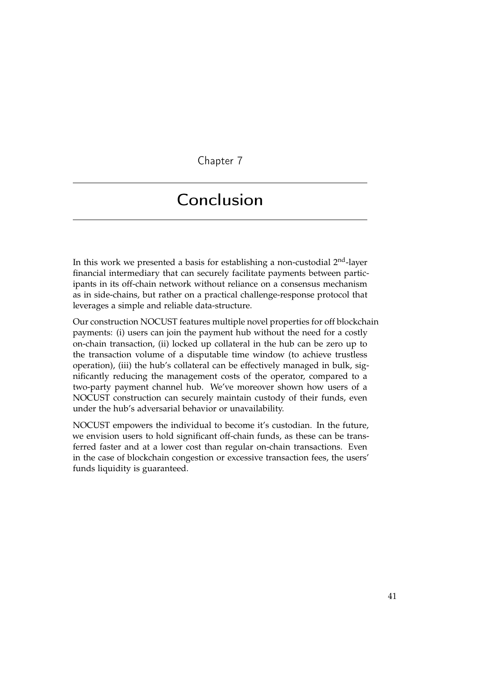Chapter 7

## Conclusion

In this work we presented a basis for establishing a non-custodial  $2<sup>nd</sup>$ -layer financial intermediary that can securely facilitate payments between participants in its off-chain network without reliance on a consensus mechanism as in side-chains, but rather on a practical challenge-response protocol that leverages a simple and reliable data-structure.

Our construction NOCUST features multiple novel properties for off blockchain payments: (i) users can join the payment hub without the need for a costly on-chain transaction, (ii) locked up collateral in the hub can be zero up to the transaction volume of a disputable time window (to achieve trustless operation), (iii) the hub's collateral can be effectively managed in bulk, significantly reducing the management costs of the operator, compared to a two-party payment channel hub. We've moreover shown how users of a NOCUST construction can securely maintain custody of their funds, even under the hub's adversarial behavior or unavailability.

NOCUST empowers the individual to become it's custodian. In the future, we envision users to hold significant off-chain funds, as these can be transferred faster and at a lower cost than regular on-chain transactions. Even in the case of blockchain congestion or excessive transaction fees, the users' funds liquidity is guaranteed.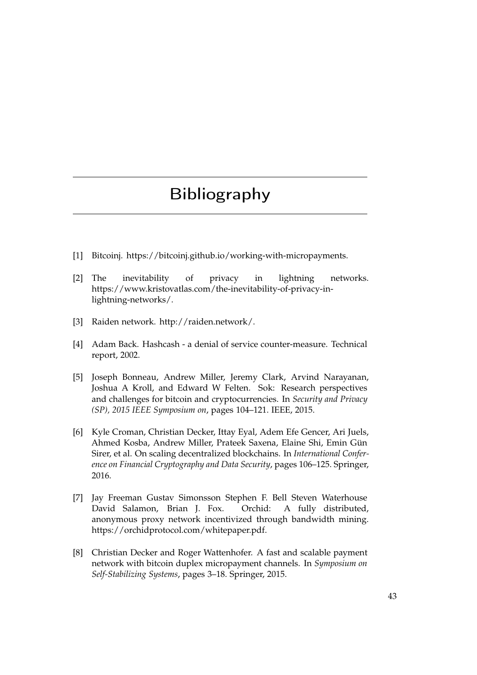## Bibliography

- [1] Bitcoinj. https://bitcoinj.github.io/working-with-micropayments.
- [2] The inevitability of privacy in lightning networks. https://www.kristovatlas.com/the-inevitability-of-privacy-inlightning-networks/.
- [3] Raiden network. http://raiden.network/.
- [4] Adam Back. Hashcash a denial of service counter-measure. Technical report, 2002.
- [5] Joseph Bonneau, Andrew Miller, Jeremy Clark, Arvind Narayanan, Joshua A Kroll, and Edward W Felten. Sok: Research perspectives and challenges for bitcoin and cryptocurrencies. In *Security and Privacy (SP), 2015 IEEE Symposium on*, pages 104–121. IEEE, 2015.
- [6] Kyle Croman, Christian Decker, Ittay Eyal, Adem Efe Gencer, Ari Juels, Ahmed Kosba, Andrew Miller, Prateek Saxena, Elaine Shi, Emin Gün Sirer, et al. On scaling decentralized blockchains. In *International Conference on Financial Cryptography and Data Security*, pages 106–125. Springer, 2016.
- [7] Jay Freeman Gustav Simonsson Stephen F. Bell Steven Waterhouse David Salamon, Brian J. Fox. Orchid: A fully distributed, anonymous proxy network incentivized through bandwidth mining. https://orchidprotocol.com/whitepaper.pdf.
- [8] Christian Decker and Roger Wattenhofer. A fast and scalable payment network with bitcoin duplex micropayment channels. In *Symposium on Self-Stabilizing Systems*, pages 3–18. Springer, 2015.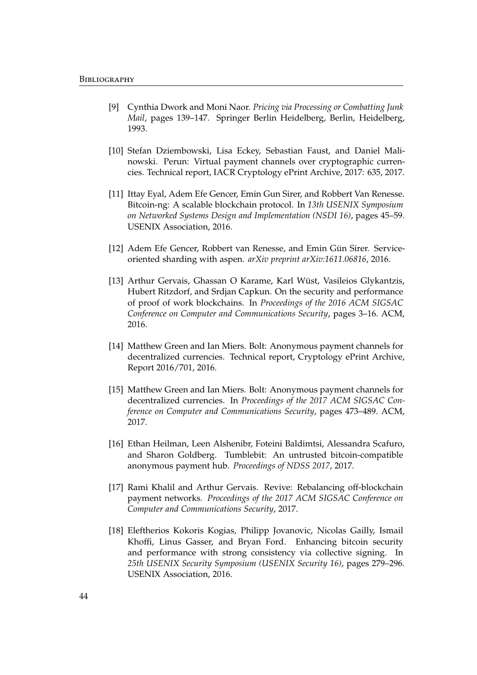- [9] Cynthia Dwork and Moni Naor. *Pricing via Processing or Combatting Junk Mail*, pages 139–147. Springer Berlin Heidelberg, Berlin, Heidelberg, 1993.
- [10] Stefan Dziembowski, Lisa Eckey, Sebastian Faust, and Daniel Malinowski. Perun: Virtual payment channels over cryptographic currencies. Technical report, IACR Cryptology ePrint Archive, 2017: 635, 2017.
- [11] Ittay Eyal, Adem Efe Gencer, Emin Gun Sirer, and Robbert Van Renesse. Bitcoin-ng: A scalable blockchain protocol. In *13th USENIX Symposium on Networked Systems Design and Implementation (NSDI 16)*, pages 45–59. USENIX Association, 2016.
- [12] Adem Efe Gencer, Robbert van Renesse, and Emin Gün Sirer. Serviceoriented sharding with aspen. *arXiv preprint arXiv:1611.06816*, 2016.
- [13] Arthur Gervais, Ghassan O Karame, Karl Wüst, Vasileios Glykantzis, Hubert Ritzdorf, and Srdjan Capkun. On the security and performance of proof of work blockchains. In *Proceedings of the 2016 ACM SIGSAC Conference on Computer and Communications Security*, pages 3–16. ACM, 2016.
- [14] Matthew Green and Ian Miers. Bolt: Anonymous payment channels for decentralized currencies. Technical report, Cryptology ePrint Archive, Report 2016/701, 2016.
- [15] Matthew Green and Ian Miers. Bolt: Anonymous payment channels for decentralized currencies. In *Proceedings of the 2017 ACM SIGSAC Conference on Computer and Communications Security*, pages 473–489. ACM, 2017.
- [16] Ethan Heilman, Leen Alshenibr, Foteini Baldimtsi, Alessandra Scafuro, and Sharon Goldberg. Tumblebit: An untrusted bitcoin-compatible anonymous payment hub. *Proceedings of NDSS 2017*, 2017.
- [17] Rami Khalil and Arthur Gervais. Revive: Rebalancing off-blockchain payment networks. *Proceedings of the 2017 ACM SIGSAC Conference on Computer and Communications Security*, 2017.
- [18] Eleftherios Kokoris Kogias, Philipp Jovanovic, Nicolas Gailly, Ismail Khoffi, Linus Gasser, and Bryan Ford. Enhancing bitcoin security and performance with strong consistency via collective signing. In *25th USENIX Security Symposium (USENIX Security 16)*, pages 279–296. USENIX Association, 2016.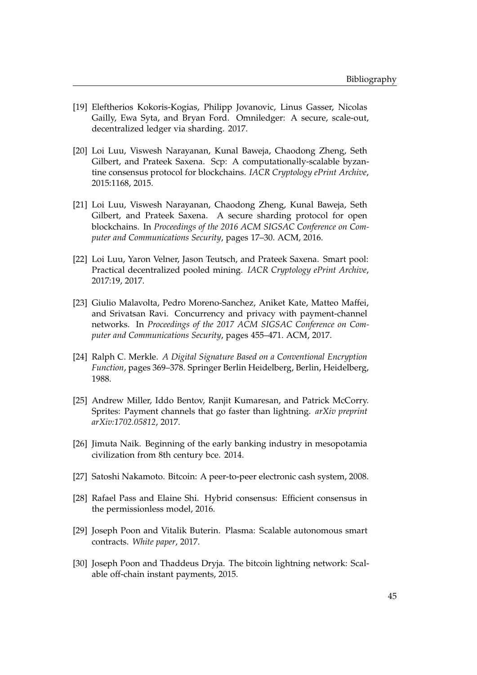- [19] Eleftherios Kokoris-Kogias, Philipp Jovanovic, Linus Gasser, Nicolas Gailly, Ewa Syta, and Bryan Ford. Omniledger: A secure, scale-out, decentralized ledger via sharding. 2017.
- [20] Loi Luu, Viswesh Narayanan, Kunal Baweja, Chaodong Zheng, Seth Gilbert, and Prateek Saxena. Scp: A computationally-scalable byzantine consensus protocol for blockchains. *IACR Cryptology ePrint Archive*, 2015:1168, 2015.
- [21] Loi Luu, Viswesh Narayanan, Chaodong Zheng, Kunal Baweja, Seth Gilbert, and Prateek Saxena. A secure sharding protocol for open blockchains. In *Proceedings of the 2016 ACM SIGSAC Conference on Computer and Communications Security*, pages 17–30. ACM, 2016.
- [22] Loi Luu, Yaron Velner, Jason Teutsch, and Prateek Saxena. Smart pool: Practical decentralized pooled mining. *IACR Cryptology ePrint Archive*, 2017:19, 2017.
- [23] Giulio Malavolta, Pedro Moreno-Sanchez, Aniket Kate, Matteo Maffei, and Srivatsan Ravi. Concurrency and privacy with payment-channel networks. In *Proceedings of the 2017 ACM SIGSAC Conference on Computer and Communications Security*, pages 455–471. ACM, 2017.
- [24] Ralph C. Merkle. *A Digital Signature Based on a Conventional Encryption Function*, pages 369–378. Springer Berlin Heidelberg, Berlin, Heidelberg, 1988.
- [25] Andrew Miller, Iddo Bentov, Ranjit Kumaresan, and Patrick McCorry. Sprites: Payment channels that go faster than lightning. *arXiv preprint arXiv:1702.05812*, 2017.
- [26] Jimuta Naik. Beginning of the early banking industry in mesopotamia civilization from 8th century bce. 2014.
- [27] Satoshi Nakamoto. Bitcoin: A peer-to-peer electronic cash system, 2008.
- [28] Rafael Pass and Elaine Shi. Hybrid consensus: Efficient consensus in the permissionless model, 2016.
- [29] Joseph Poon and Vitalik Buterin. Plasma: Scalable autonomous smart contracts. *White paper*, 2017.
- [30] Joseph Poon and Thaddeus Dryja. The bitcoin lightning network: Scalable off-chain instant payments, 2015.